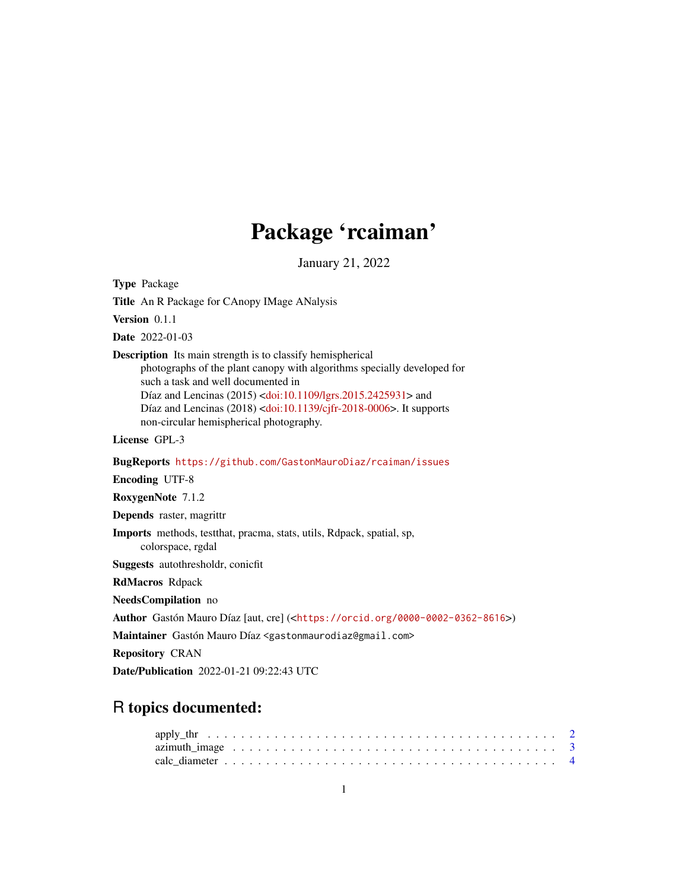# Package 'rcaiman'

January 21, 2022

<span id="page-0-0"></span>Type Package

Title An R Package for CAnopy IMage ANalysis

Version 0.1.1

Date 2022-01-03

Description Its main strength is to classify hemispherical

photographs of the plant canopy with algorithms specially developed for such a task and well documented in Díaz and Lencinas (2015) [<doi:10.1109/lgrs.2015.2425931>](https://doi.org/10.1109/lgrs.2015.2425931) and Díaz and Lencinas (2018) [<doi:10.1139/cjfr-2018-0006>](https://doi.org/10.1139/cjfr-2018-0006). It supports non-circular hemispherical photography.

License GPL-3

BugReports <https://github.com/GastonMauroDiaz/rcaiman/issues>

Encoding UTF-8

RoxygenNote 7.1.2

Depends raster, magrittr

Imports methods, testthat, pracma, stats, utils, Rdpack, spatial, sp, colorspace, rgdal

Suggests autothresholdr, conicfit

RdMacros Rdpack

NeedsCompilation no

Author Gastón Mauro Díaz [aut, cre] (<<https://orcid.org/0000-0002-0362-8616>>)

Maintainer Gastón Mauro Díaz <gastonmaurodiaz@gmail.com>

Repository CRAN

Date/Publication 2022-01-21 09:22:43 UTC

# R topics documented: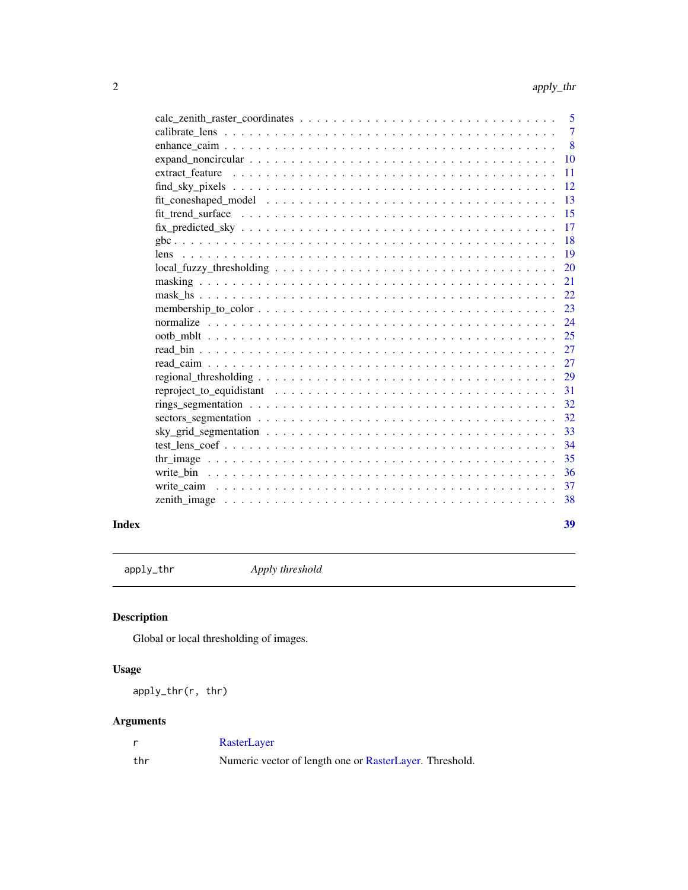<span id="page-1-0"></span>

|                                                                                                                              | 5              |
|------------------------------------------------------------------------------------------------------------------------------|----------------|
|                                                                                                                              | $\overline{7}$ |
| -8                                                                                                                           |                |
| 10<br>$expand\_noncircular \dots \dots \dots \dots \dots \dots \dots \dots \dots \dots \dots \dots \dots \dots \dots \dots$  |                |
| 11<br>extract feature                                                                                                        |                |
| 12                                                                                                                           |                |
| 13                                                                                                                           |                |
| 15                                                                                                                           |                |
| 17                                                                                                                           |                |
| 18                                                                                                                           |                |
| 19                                                                                                                           |                |
| 20                                                                                                                           |                |
| 21                                                                                                                           |                |
| 22                                                                                                                           |                |
| 23                                                                                                                           |                |
| 24                                                                                                                           |                |
|                                                                                                                              |                |
|                                                                                                                              |                |
| 27                                                                                                                           |                |
| 29                                                                                                                           |                |
| 31                                                                                                                           |                |
| 32                                                                                                                           |                |
| 32<br>sectors_segmentation $\dots \dots \dots \dots \dots \dots \dots \dots \dots \dots \dots \dots \dots \dots \dots \dots$ |                |
| 33                                                                                                                           |                |
| 34                                                                                                                           |                |
| 35                                                                                                                           |                |
| 36                                                                                                                           |                |
| 37                                                                                                                           |                |
| 38                                                                                                                           |                |
|                                                                                                                              |                |

#### **Index** [39](#page-38-0)

<span id="page-1-1"></span>apply\_thr *Apply threshold*

# Description

Global or local thresholding of images.

# Usage

apply\_thr(r, thr)

|     | RasterLayer                                             |
|-----|---------------------------------------------------------|
| thr | Numeric vector of length one or RasterLayer. Threshold. |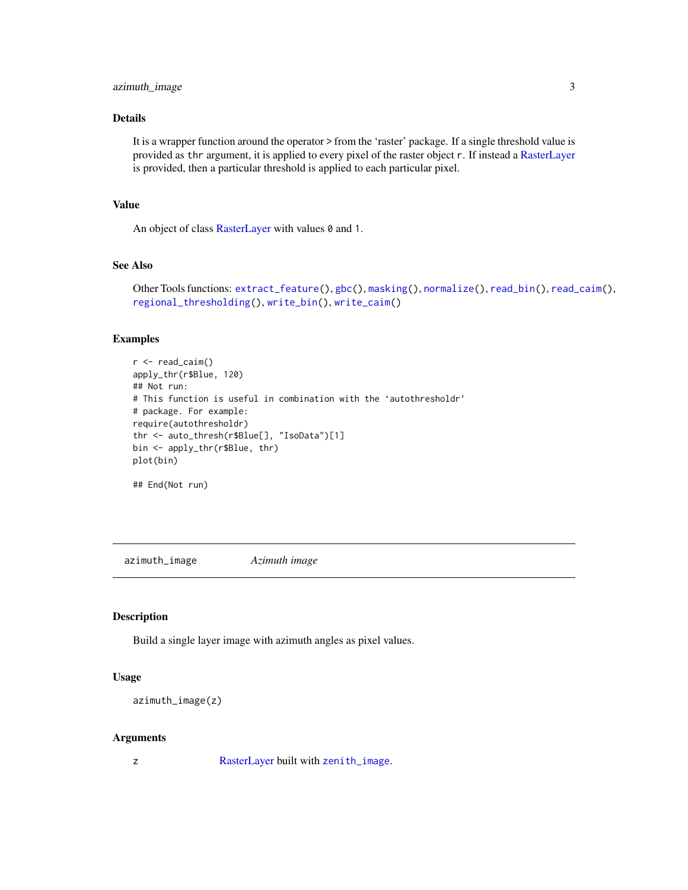# <span id="page-2-0"></span>azimuth\_image 3

# Details

It is a wrapper function around the operator > from the 'raster' package. If a single threshold value is provided as thr argument, it is applied to every pixel of the raster object r. If instead a [RasterLayer](#page-0-0) is provided, then a particular threshold is applied to each particular pixel.

# Value

An object of class [RasterLayer](#page-0-0) with values 0 and 1.

# See Also

```
Other Tools functions: extract_feature(), gbc(), masking(), normalize(), read_bin(), read_caim(),
regional_thresholding(), write_bin(), write_caim()
```
# Examples

```
r < - read_caim()
apply_thr(r$Blue, 120)
## Not run:
# This function is useful in combination with the 'autothresholdr'
# package. For example:
require(autothresholdr)
thr <- auto_thresh(r$Blue[], "IsoData")[1]
bin <- apply_thr(r$Blue, thr)
plot(bin)
```
## End(Not run)

<span id="page-2-1"></span>azimuth\_image *Azimuth image*

# Description

Build a single layer image with azimuth angles as pixel values.

#### Usage

```
azimuth_image(z)
```
#### Arguments

z [RasterLayer](#page-0-0) built with [zenith\\_image](#page-37-1).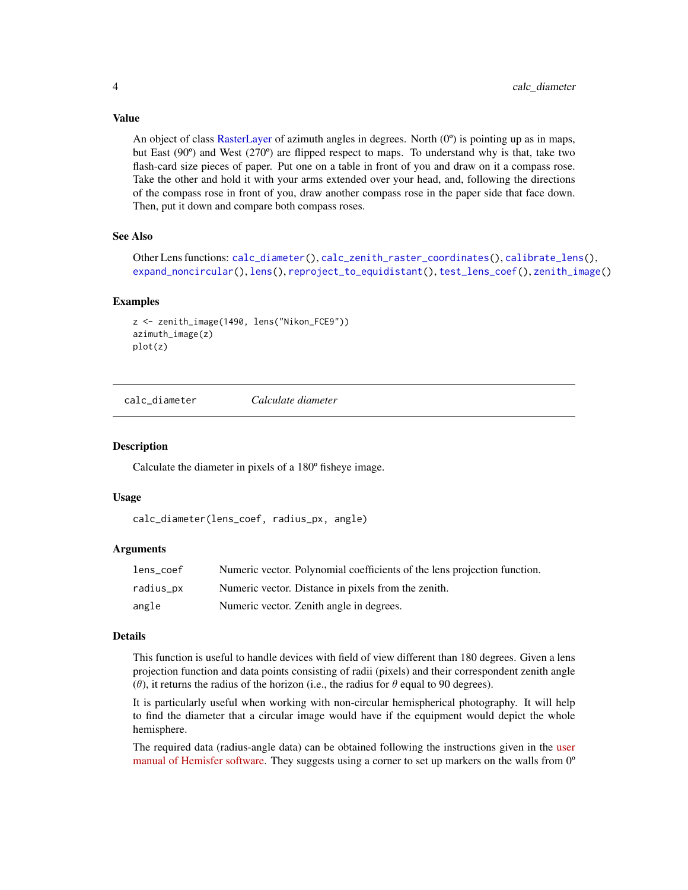<span id="page-3-0"></span>Value

An object of class [RasterLayer](#page-0-0) of azimuth angles in degrees. North  $(0^{\circ})$  is pointing up as in maps, but East (90º) and West (270º) are flipped respect to maps. To understand why is that, take two flash-card size pieces of paper. Put one on a table in front of you and draw on it a compass rose. Take the other and hold it with your arms extended over your head, and, following the directions of the compass rose in front of you, draw another compass rose in the paper side that face down. Then, put it down and compare both compass roses.

# See Also

Other Lens functions: [calc\\_diameter\(](#page-3-1)), [calc\\_zenith\\_raster\\_coordinates\(](#page-4-1)), [calibrate\\_lens\(](#page-6-1)), [expand\\_noncircular\(](#page-9-1)), [lens\(](#page-18-1)), [reproject\\_to\\_equidistant\(](#page-30-1)), [test\\_lens\\_coef\(](#page-33-1)), [zenith\\_image\(](#page-37-1))

#### Examples

```
z <- zenith_image(1490, lens("Nikon_FCE9"))
azimuth_image(z)
plot(z)
```
<span id="page-3-1"></span>calc\_diameter *Calculate diameter*

#### **Description**

Calculate the diameter in pixels of a 180º fisheye image.

#### Usage

calc\_diameter(lens\_coef, radius\_px, angle)

# Arguments

| lens coef | Numeric vector. Polynomial coefficients of the lens projection function. |
|-----------|--------------------------------------------------------------------------|
| radius_px | Numeric vector. Distance in pixels from the zenith.                      |
| angle     | Numeric vector. Zenith angle in degrees.                                 |

# Details

This function is useful to handle devices with field of view different than 180 degrees. Given a lens projection function and data points consisting of radii (pixels) and their correspondent zenith angle ( $\theta$ ), it returns the radius of the horizon (i.e., the radius for  $\theta$  equal to 90 degrees).

It is particularly useful when working with non-circular hemispherical photography. It will help to find the diameter that a circular image would have if the equipment would depict the whole hemisphere.

The required data (radius-angle data) can be obtained following the instructions given in the [user](https://www.schleppi.ch/patrick/hemisfer/help/en/lens.htm) [manual of Hemisfer software.](https://www.schleppi.ch/patrick/hemisfer/help/en/lens.htm) They suggests using a corner to set up markers on the walls from 0<sup>o</sup>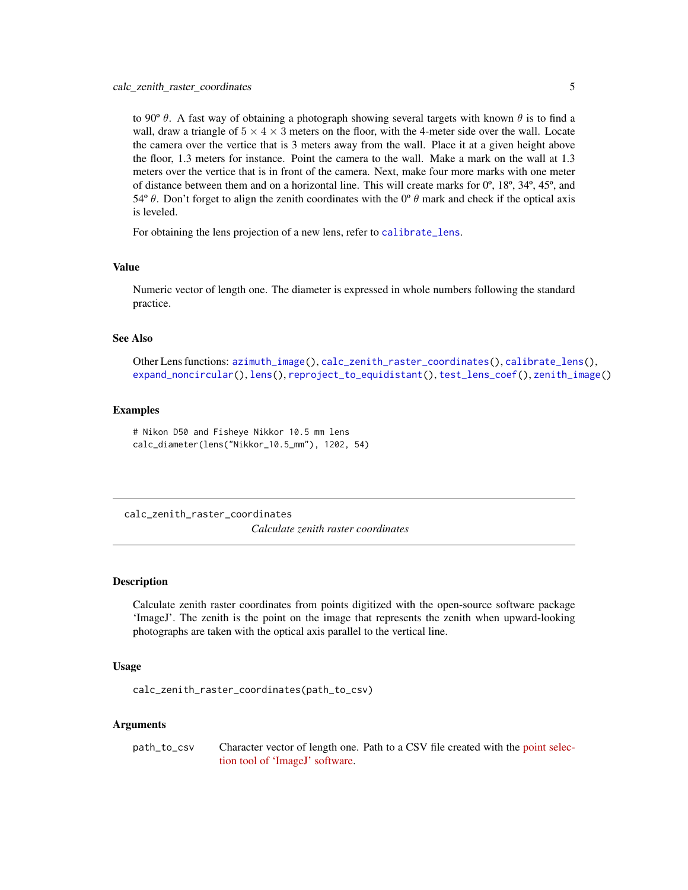<span id="page-4-0"></span>to 90°  $\theta$ . A fast way of obtaining a photograph showing several targets with known  $\theta$  is to find a wall, draw a triangle of  $5 \times 4 \times 3$  meters on the floor, with the 4-meter side over the wall. Locate the camera over the vertice that is 3 meters away from the wall. Place it at a given height above the floor, 1.3 meters for instance. Point the camera to the wall. Make a mark on the wall at 1.3 meters over the vertice that is in front of the camera. Next, make four more marks with one meter of distance between them and on a horizontal line. This will create marks for 0º, 18º, 34º, 45º, and 54 $\degree$  θ. Don't forget to align the zenith coordinates with the  $0\degree$  θ mark and check if the optical axis is leveled.

For obtaining the lens projection of a new lens, refer to [calibrate\\_lens](#page-6-1).

#### Value

Numeric vector of length one. The diameter is expressed in whole numbers following the standard practice.

#### See Also

Other Lens functions: [azimuth\\_image\(](#page-2-1)), [calc\\_zenith\\_raster\\_coordinates\(](#page-4-1)), [calibrate\\_lens\(](#page-6-1)), [expand\\_noncircular\(](#page-9-1)), [lens\(](#page-18-1)), [reproject\\_to\\_equidistant\(](#page-30-1)), [test\\_lens\\_coef\(](#page-33-1)), [zenith\\_image\(](#page-37-1))

#### Examples

# Nikon D50 and Fisheye Nikkor 10.5 mm lens calc\_diameter(lens("Nikkor\_10.5\_mm"), 1202, 54)

<span id="page-4-1"></span>calc\_zenith\_raster\_coordinates

*Calculate zenith raster coordinates*

# **Description**

Calculate zenith raster coordinates from points digitized with the open-source software package 'ImageJ'. The zenith is the point on the image that represents the zenith when upward-looking photographs are taken with the optical axis parallel to the vertical line.

#### Usage

calc\_zenith\_raster\_coordinates(path\_to\_csv)

# Arguments

path\_to\_csv Character vector of length one. Path to a CSV file created with the [point selec](https://imagej.nih.gov/ij/docs/guide/146-19.html#sec:Multi-point-Tool)[tion tool of 'ImageJ' software.](https://imagej.nih.gov/ij/docs/guide/146-19.html#sec:Multi-point-Tool)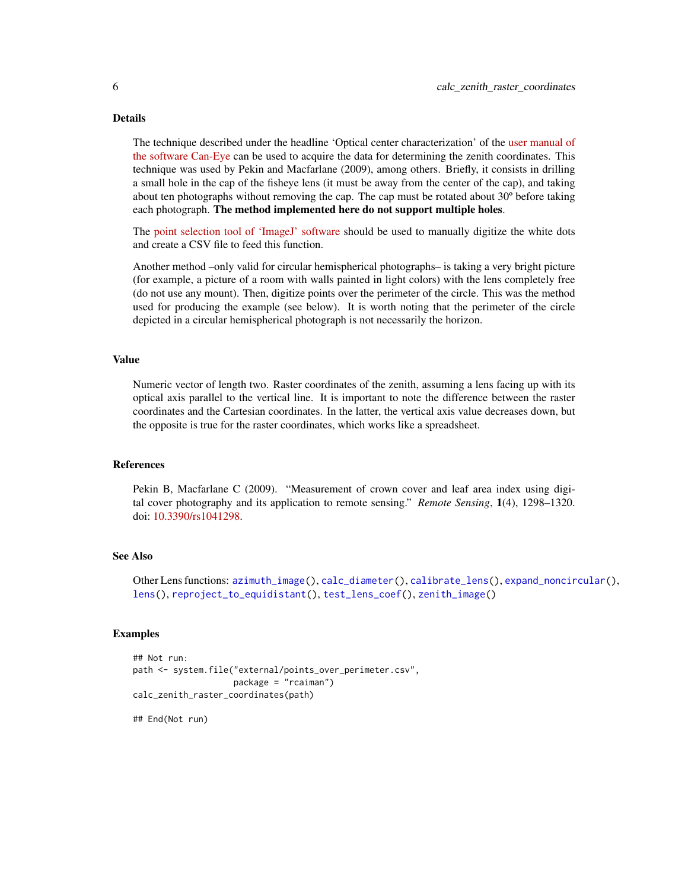#### <span id="page-5-0"></span>Details

The technique described under the headline 'Optical center characterization' of the [user manual of](https://www6.paca.inrae.fr/can-eye/content/download/3052/30819/version/4/file/CAN_EYE_User_Manual.pdf) [the software Can-Eye](https://www6.paca.inrae.fr/can-eye/content/download/3052/30819/version/4/file/CAN_EYE_User_Manual.pdf) can be used to acquire the data for determining the zenith coordinates. This technique was used by Pekin and Macfarlane (2009), among others. Briefly, it consists in drilling a small hole in the cap of the fisheye lens (it must be away from the center of the cap), and taking about ten photographs without removing the cap. The cap must be rotated about 30º before taking each photograph. The method implemented here do not support multiple holes.

The [point selection tool of 'ImageJ' software](https://imagej.nih.gov/ij/docs/guide/146-19.html#sec:Multi-point-Tool) should be used to manually digitize the white dots and create a CSV file to feed this function.

Another method –only valid for circular hemispherical photographs– is taking a very bright picture (for example, a picture of a room with walls painted in light colors) with the lens completely free (do not use any mount). Then, digitize points over the perimeter of the circle. This was the method used for producing the example (see below). It is worth noting that the perimeter of the circle depicted in a circular hemispherical photograph is not necessarily the horizon.

# Value

Numeric vector of length two. Raster coordinates of the zenith, assuming a lens facing up with its optical axis parallel to the vertical line. It is important to note the difference between the raster coordinates and the Cartesian coordinates. In the latter, the vertical axis value decreases down, but the opposite is true for the raster coordinates, which works like a spreadsheet.

#### References

Pekin B, Macfarlane C (2009). "Measurement of crown cover and leaf area index using digital cover photography and its application to remote sensing." *Remote Sensing*, 1(4), 1298–1320. doi: [10.3390/rs1041298.](https://doi.org/10.3390/rs1041298)

# See Also

Other Lens functions: [azimuth\\_image\(](#page-2-1)), [calc\\_diameter\(](#page-3-1)), [calibrate\\_lens\(](#page-6-1)), [expand\\_noncircular\(](#page-9-1)), [lens\(](#page-18-1)), [reproject\\_to\\_equidistant\(](#page-30-1)), [test\\_lens\\_coef\(](#page-33-1)), [zenith\\_image\(](#page-37-1))

#### Examples

```
## Not run:
path <- system.file("external/points_over_perimeter.csv",
                    package = "rcaiman")
calc_zenith_raster_coordinates(path)
```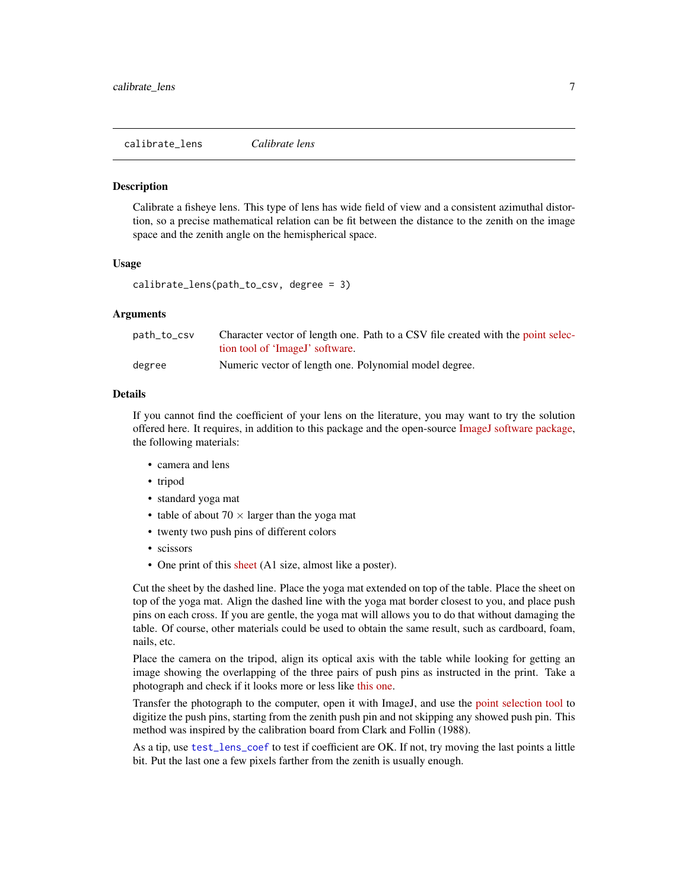<span id="page-6-1"></span><span id="page-6-0"></span>calibrate\_lens *Calibrate lens*

#### Description

Calibrate a fisheye lens. This type of lens has wide field of view and a consistent azimuthal distortion, so a precise mathematical relation can be fit between the distance to the zenith on the image space and the zenith angle on the hemispherical space.

#### Usage

```
calibrate_lens(path_to_csv, degree = 3)
```
# Arguments

| path_to_csv | Character vector of length one. Path to a CSV file created with the point selec- |
|-------------|----------------------------------------------------------------------------------|
|             | tion tool of 'ImageJ' software.                                                  |
| degree      | Numeric vector of length one. Polynomial model degree.                           |

# Details

If you cannot find the coefficient of your lens on the literature, you may want to try the solution offered here. It requires, in addition to this package and the open-source [ImageJ software package,](https://imagej.nih.gov/ij/download.html) the following materials:

- camera and lens
- tripod
- standard yoga mat
- table of about  $70 \times$  larger than the yoga mat
- twenty two push pins of different colors
- scissors
- One print of this [sheet](https://osf.io/tudzc/download) (A1 size, almost like a poster).

Cut the sheet by the dashed line. Place the yoga mat extended on top of the table. Place the sheet on top of the yoga mat. Align the dashed line with the yoga mat border closest to you, and place push pins on each cross. If you are gentle, the yoga mat will allows you to do that without damaging the table. Of course, other materials could be used to obtain the same result, such as cardboard, foam, nails, etc.

Place the camera on the tripod, align its optical axis with the table while looking for getting an image showing the overlapping of the three pairs of push pins as instructed in the print. Take a photograph and check if it looks more or less like [this one.](https://osf.io/tudzc/download)

Transfer the photograph to the computer, open it with ImageJ, and use the [point selection tool](https://imagej.nih.gov/ij/docs/guide/146-19.html#sec:Multi-point-Tool) to digitize the push pins, starting from the zenith push pin and not skipping any showed push pin. This method was inspired by the calibration board from Clark and Follin (1988).

As a tip, use [test\\_lens\\_coef](#page-33-1) to test if coefficient are OK. If not, try moving the last points a little bit. Put the last one a few pixels farther from the zenith is usually enough.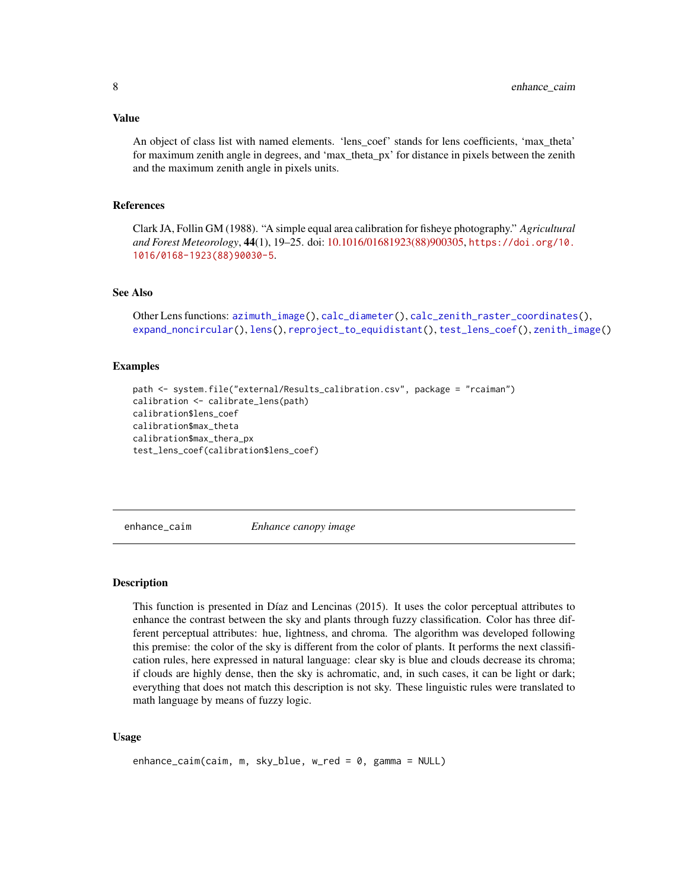#### <span id="page-7-0"></span>Value

An object of class list with named elements. 'lens\_coef' stands for lens coefficients, 'max\_theta' for maximum zenith angle in degrees, and 'max\_theta\_px' for distance in pixels between the zenith and the maximum zenith angle in pixels units.

#### References

Clark JA, Follin GM (1988). "A simple equal area calibration for fisheye photography." *Agricultural and Forest Meteorology*, 44(1), 19–25. doi: [10.1016/01681923\(88\)900305,](https://doi.org/10.1016/0168-1923(88)90030-5) [https://doi.org/10.](https://doi.org/10.1016/0168-1923(88)90030-5) [1016/0168-1923\(88\)90030-5](https://doi.org/10.1016/0168-1923(88)90030-5).

# See Also

Other Lens functions: [azimuth\\_image\(](#page-2-1)), [calc\\_diameter\(](#page-3-1)), [calc\\_zenith\\_raster\\_coordinates\(](#page-4-1)), [expand\\_noncircular\(](#page-9-1)), [lens\(](#page-18-1)), [reproject\\_to\\_equidistant\(](#page-30-1)), [test\\_lens\\_coef\(](#page-33-1)), [zenith\\_image\(](#page-37-1))

# Examples

```
path <- system.file("external/Results_calibration.csv", package = "rcaiman")
calibration <- calibrate_lens(path)
calibration$lens_coef
calibration$max_theta
calibration$max_thera_px
test_lens_coef(calibration$lens_coef)
```
<span id="page-7-1"></span>enhance\_caim *Enhance canopy image*

#### Description

This function is presented in Díaz and Lencinas (2015). It uses the color perceptual attributes to enhance the contrast between the sky and plants through fuzzy classification. Color has three different perceptual attributes: hue, lightness, and chroma. The algorithm was developed following this premise: the color of the sky is different from the color of plants. It performs the next classification rules, here expressed in natural language: clear sky is blue and clouds decrease its chroma; if clouds are highly dense, then the sky is achromatic, and, in such cases, it can be light or dark; everything that does not match this description is not sky. These linguistic rules were translated to math language by means of fuzzy logic.

# Usage

```
enhance_caim(caim, m, sky_blue, w_red = 0, gamma = NULL)
```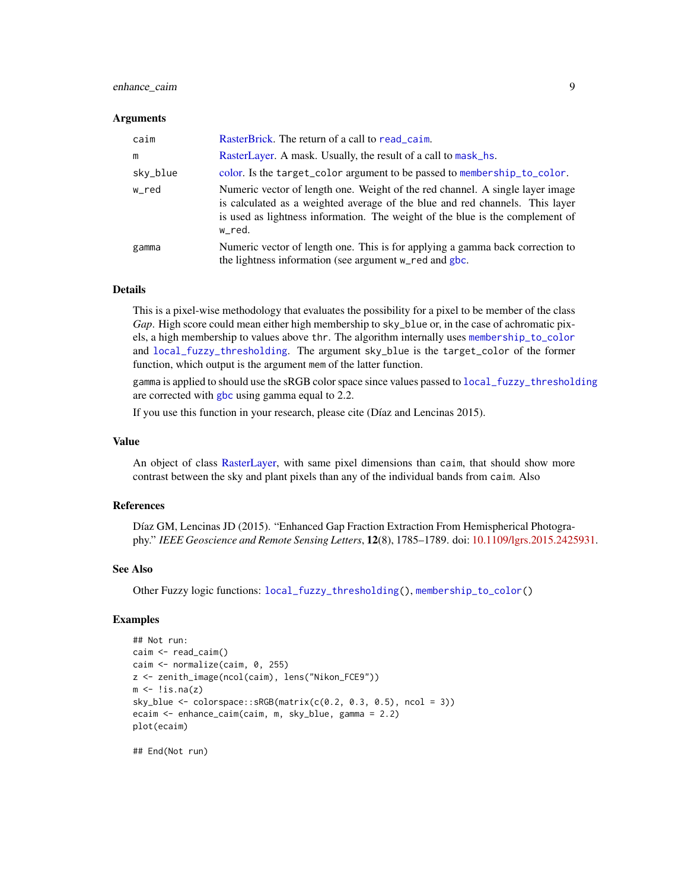# <span id="page-8-0"></span>enhance\_caim 9

#### **Arguments**

| caim     | RasterBrick. The return of a call to read_caim.                                                                                                                                                                                                          |
|----------|----------------------------------------------------------------------------------------------------------------------------------------------------------------------------------------------------------------------------------------------------------|
| m        | RasterLayer. A mask. Usually, the result of a call to mask_hs.                                                                                                                                                                                           |
| sky_blue | color. Is the target_color argument to be passed to membership_to_color.                                                                                                                                                                                 |
| w_red    | Numeric vector of length one. Weight of the red channel. A single layer image<br>is calculated as a weighted average of the blue and red channels. This layer<br>is used as lightness information. The weight of the blue is the complement of<br>w red. |
| gamma    | Numeric vector of length one. This is for applying a gamma back correction to<br>the lightness information (see argument w_red and gbc.                                                                                                                  |

#### Details

This is a pixel-wise methodology that evaluates the possibility for a pixel to be member of the class *Gap*. High score could mean either high membership to sky\_blue or, in the case of achromatic pixels, a high membership to values above thr. The algorithm internally uses [membership\\_to\\_color](#page-22-1) and [local\\_fuzzy\\_thresholding](#page-19-1). The argument sky\_blue is the target\_color of the former function, which output is the argument mem of the latter function.

gamma is applied to should use the sRGB color space since values passed to [local\\_fuzzy\\_thresholding](#page-19-1) are corrected with [gbc](#page-17-1) using gamma equal to 2.2.

If you use this function in your research, please cite (Díaz and Lencinas 2015).

#### Value

An object of class [RasterLayer,](#page-0-0) with same pixel dimensions than caim, that should show more contrast between the sky and plant pixels than any of the individual bands from caim. Also

# **References**

Díaz GM, Lencinas JD (2015). "Enhanced Gap Fraction Extraction From Hemispherical Photography." *IEEE Geoscience and Remote Sensing Letters*, 12(8), 1785–1789. doi: [10.1109/lgrs.2015.2425931.](https://doi.org/10.1109/lgrs.2015.2425931)

#### See Also

Other Fuzzy logic functions: [local\\_fuzzy\\_thresholding\(](#page-19-1)), [membership\\_to\\_color\(](#page-22-1))

# Examples

```
## Not run:
caim <- read_caim()
caim <- normalize(caim, 0, 255)
z <- zenith_image(ncol(caim), lens("Nikon_FCE9"))
m \leftarrow !is.na(z)
sky_blue <- colorspace::SRGB(matrix(c(0.2, 0.3, 0.5), ncol = 3))ecaim <- enhance_caim(caim, m, sky_blue, gamma = 2.2)
plot(ecaim)
```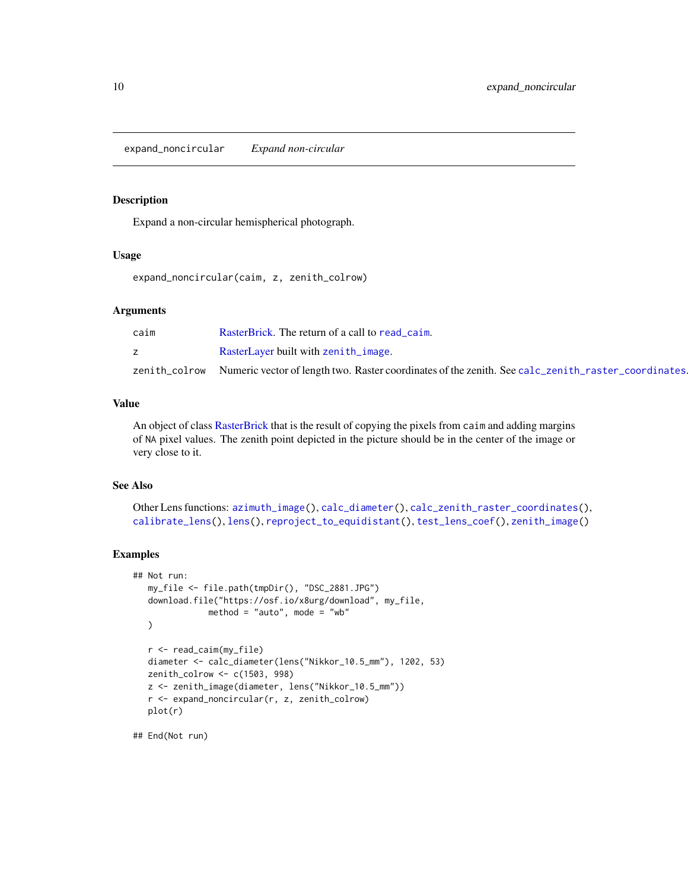<span id="page-9-1"></span><span id="page-9-0"></span>expand\_noncircular *Expand non-circular*

# Description

Expand a non-circular hemispherical photograph.

#### Usage

expand\_noncircular(caim, z, zenith\_colrow)

#### Arguments

| caim | RasterBrick. The return of a call to read caim.                                                                   |
|------|-------------------------------------------------------------------------------------------------------------------|
|      | RasterLayer built with zenith_image.                                                                              |
|      | zenith_colrow Numeric vector of length two. Raster coordinates of the zenith. See calc_zenith_raster_coordinates. |

#### Value

An object of class [RasterBrick](#page-0-0) that is the result of copying the pixels from caim and adding margins of NA pixel values. The zenith point depicted in the picture should be in the center of the image or very close to it.

# See Also

```
Other Lens functions: azimuth_image(), calc_diameter(), calc_zenith_raster_coordinates(),
calibrate_lens(), lens(), reproject_to_equidistant(), test_lens_coef(), zenith_image()
```
#### Examples

```
## Not run:
  my_file <- file.path(tmpDir(), "DSC_2881.JPG")
  download.file("https://osf.io/x8urg/download", my_file,
              method = "auto", mode = "wb"
  )
  r <- read_caim(my_file)
  diameter <- calc_diameter(lens("Nikkor_10.5_mm"), 1202, 53)
  zenith_colrow <- c(1503, 998)
  z <- zenith_image(diameter, lens("Nikkor_10.5_mm"))
  r <- expand_noncircular(r, z, zenith_colrow)
  plot(r)
```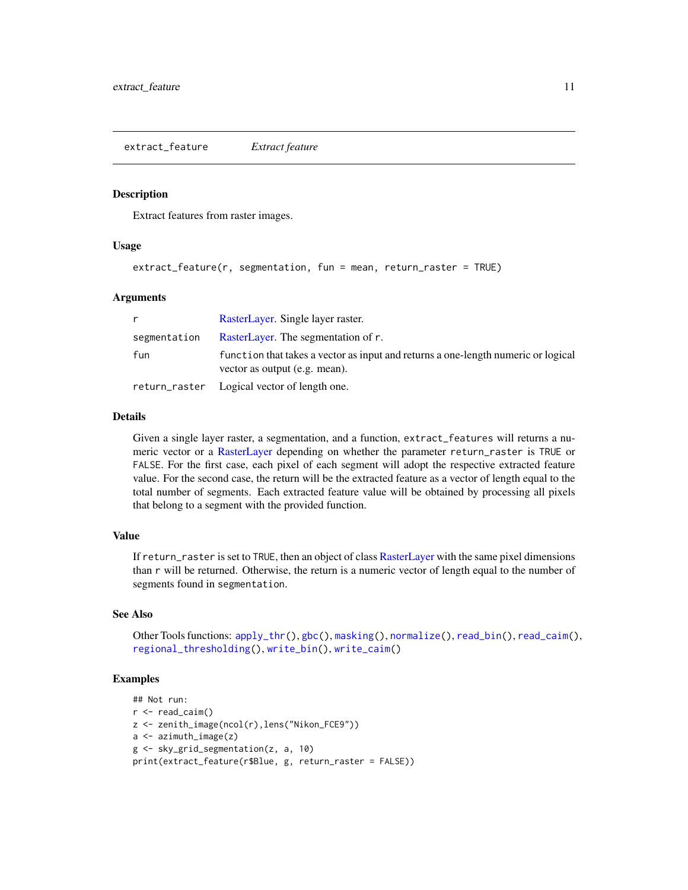<span id="page-10-1"></span><span id="page-10-0"></span>extract\_feature *Extract feature*

#### **Description**

Extract features from raster images.

# Usage

```
extract_feature(r, segmentation, fun = mean, return_raster = TRUE)
```
# Arguments

|              | RasterLayer. Single layer raster.                                                                                  |
|--------------|--------------------------------------------------------------------------------------------------------------------|
| segmentation | RasterLayer. The segmentation of r.                                                                                |
| fun          | function that takes a vector as input and returns a one-length numeric or logical<br>vector as output (e.g. mean). |
|              | return_raster Logical vector of length one.                                                                        |

# Details

Given a single layer raster, a segmentation, and a function, extract\_features will returns a numeric vector or a [RasterLayer](#page-0-0) depending on whether the parameter return\_raster is TRUE or FALSE. For the first case, each pixel of each segment will adopt the respective extracted feature value. For the second case, the return will be the extracted feature as a vector of length equal to the total number of segments. Each extracted feature value will be obtained by processing all pixels that belong to a segment with the provided function.

#### Value

If return\_raster is set to TRUE, then an object of class [RasterLayer](#page-0-0) with the same pixel dimensions than r will be returned. Otherwise, the return is a numeric vector of length equal to the number of segments found in segmentation.

#### See Also

Other Tools functions: [apply\\_thr\(](#page-1-1)), [gbc\(](#page-17-1)), [masking\(](#page-20-1)), [normalize\(](#page-23-1)), [read\\_bin\(](#page-26-1)), [read\\_caim\(](#page-26-2)), [regional\\_thresholding\(](#page-28-1)), [write\\_bin\(](#page-35-1)), [write\\_caim\(](#page-36-1))

#### Examples

```
## Not run:
r < - read_caim()
z <- zenith_image(ncol(r),lens("Nikon_FCE9"))
a <- azimuth_image(z)
g <- sky_grid_segmentation(z, a, 10)
print(extract_feature(r$Blue, g, return_raster = FALSE))
```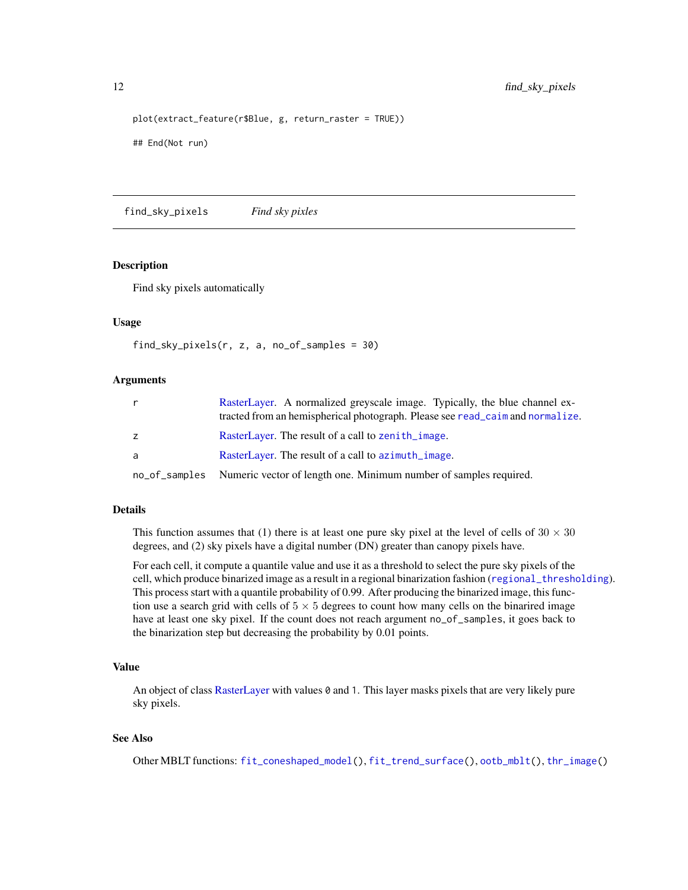```
plot(extract_feature(r$Blue, g, return_raster = TRUE))
## End(Not run)
```
<span id="page-11-1"></span>find\_sky\_pixels *Find sky pixles*

# Description

Find sky pixels automatically

# Usage

```
find_sky_pixels(r, z, a, no_of_samples = 30)
```
# Arguments

| r  | RasterLayer. A normalized greyscale image. Typically, the blue channel ex-<br>tracted from an hemispherical photograph. Please see read_caim and normalize. |
|----|-------------------------------------------------------------------------------------------------------------------------------------------------------------|
| z. | RasterLayer. The result of a call to zenith_image.                                                                                                          |
| a  | RasterLayer. The result of a call to azimuth_image.                                                                                                         |
|    | no_of_samples Numeric vector of length one. Minimum number of samples required.                                                                             |

# Details

This function assumes that (1) there is at least one pure sky pixel at the level of cells of  $30 \times 30$ degrees, and (2) sky pixels have a digital number (DN) greater than canopy pixels have.

For each cell, it compute a quantile value and use it as a threshold to select the pure sky pixels of the cell, which produce binarized image as a result in a regional binarization fashion ([regional\\_thresholding](#page-28-1)). This process start with a quantile probability of 0.99. After producing the binarized image, this function use a search grid with cells of  $5 \times 5$  degrees to count how many cells on the binarired image have at least one sky pixel. If the count does not reach argument no\_of\_samples, it goes back to the binarization step but decreasing the probability by 0.01 points.

# Value

An object of class [RasterLayer](#page-0-0) with values 0 and 1. This layer masks pixels that are very likely pure sky pixels.

# See Also

Other MBLT functions: [fit\\_coneshaped\\_model\(](#page-12-1)), [fit\\_trend\\_surface\(](#page-14-1)), [ootb\\_mblt\(](#page-24-1)), [thr\\_image\(](#page-34-1))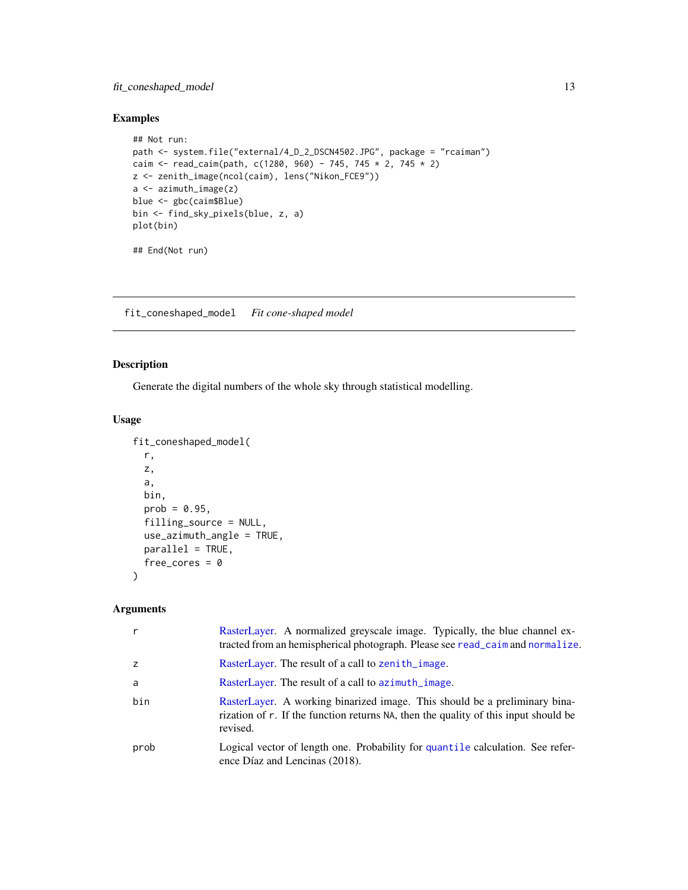# <span id="page-12-0"></span>fit\_coneshaped\_model 13

# Examples

```
## Not run:
path <- system.file("external/4_D_2_DSCN4502.JPG", package = "rcaiman")
caim <- read_caim(path, c(1280, 960) - 745, 745 * 2, 745 * 2)
z <- zenith_image(ncol(caim), lens("Nikon_FCE9"))
a <- azimuth_image(z)
blue <- gbc(caim$Blue)
bin <- find_sky_pixels(blue, z, a)
plot(bin)
## End(Not run)
```
<span id="page-12-1"></span>fit\_coneshaped\_model *Fit cone-shaped model*

# Description

Generate the digital numbers of the whole sky through statistical modelling.

# Usage

```
fit_coneshaped_model(
  r,
 z,
 a,
 bin,
 prob = 0.95,filling_source = NULL,
 use_azimuth_angle = TRUE,
 parallel = TRUE,
 free_cores = 0)
```

| $\mathsf{r}$ | RasterLayer. A normalized greyscale image. Typically, the blue channel ex-<br>tracted from an hemispherical photograph. Please see read_caim and normalize.                   |
|--------------|-------------------------------------------------------------------------------------------------------------------------------------------------------------------------------|
| z            | RasterLayer. The result of a call to zenith_image.                                                                                                                            |
| a            | RasterLayer. The result of a call to azimuth_image.                                                                                                                           |
| bin          | RasterLayer. A working binarized image. This should be a preliminary bina-<br>rization of r. If the function returns NA, then the quality of this input should be<br>revised. |
| prob         | Logical vector of length one. Probability for quantile calculation. See refer-<br>ence Díaz and Lencinas (2018).                                                              |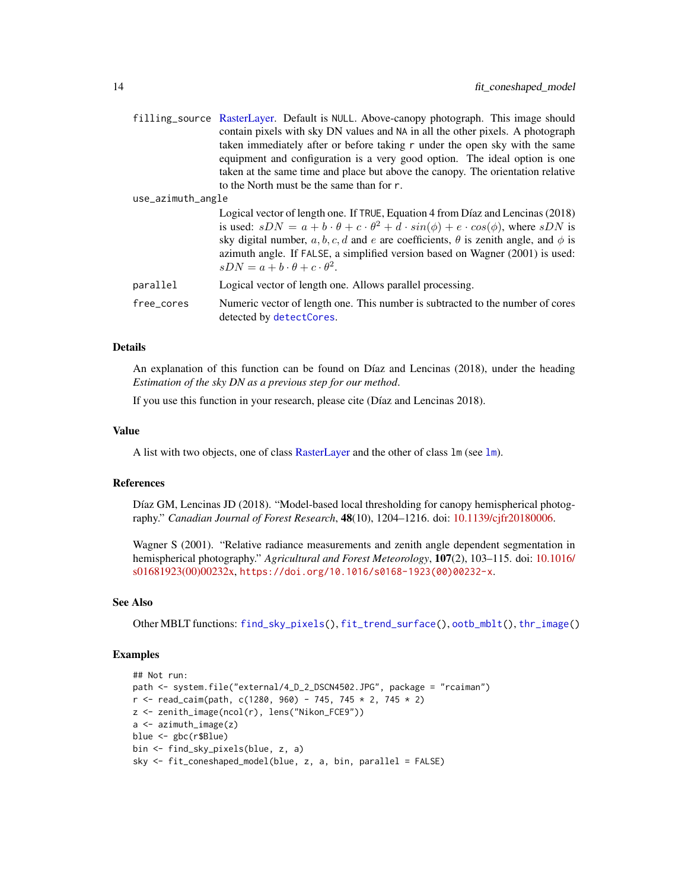<span id="page-13-0"></span>

|                   | filling_source RasterLayer. Default is NULL. Above-canopy photograph. This image should<br>contain pixels with sky DN values and NA in all the other pixels. A photograph<br>taken immediately after or before taking r under the open sky with the same<br>equipment and configuration is a very good option. The ideal option is one                                                                                                   |
|-------------------|------------------------------------------------------------------------------------------------------------------------------------------------------------------------------------------------------------------------------------------------------------------------------------------------------------------------------------------------------------------------------------------------------------------------------------------|
|                   | taken at the same time and place but above the canopy. The orientation relative<br>to the North must be the same than for r.                                                                                                                                                                                                                                                                                                             |
| use_azimuth_angle |                                                                                                                                                                                                                                                                                                                                                                                                                                          |
|                   | Logical vector of length one. If TRUE, Equation 4 from Díaz and Lencinas (2018)<br>is used: $sDN = a + b \cdot \theta + c \cdot \theta^2 + d \cdot sin(\phi) + e \cdot cos(\phi)$ , where $sDN$ is<br>sky digital number, a, b, c, d and e are coefficients, $\theta$ is zenith angle, and $\phi$ is<br>azimuth angle. If FALSE, a simplified version based on Wagner (2001) is used:<br>$sDN = a + b \cdot \theta + c \cdot \theta^2$ . |
| parallel          | Logical vector of length one. Allows parallel processing.                                                                                                                                                                                                                                                                                                                                                                                |

free\_cores Numeric vector of length one. This number is subtracted to the number of cores detected by [detectCores](#page-0-0).

# Details

An explanation of this function can be found on Díaz and Lencinas (2018), under the heading *Estimation of the sky DN as a previous step for our method*.

If you use this function in your research, please cite (Díaz and Lencinas 2018).

#### Value

A list with two objects, one of class [RasterLayer](#page-0-0) and the other of class  $\text{Im}$  (see  $\text{Im}$ ).

#### References

Díaz GM, Lencinas JD (2018). "Model-based local thresholding for canopy hemispherical photography." *Canadian Journal of Forest Research*, 48(10), 1204–1216. doi: [10.1139/cjfr20180006.](https://doi.org/10.1139/cjfr-2018-0006)

Wagner S (2001). "Relative radiance measurements and zenith angle dependent segmentation in hemispherical photography." *Agricultural and Forest Meteorology*, 107(2), 103–115. doi: [10.1016/](https://doi.org/10.1016/s0168-1923(00)00232-x) [s01681923\(00\)00232x,](https://doi.org/10.1016/s0168-1923(00)00232-x) [https://doi.org/10.1016/s0168-1923\(00\)00232-x](https://doi.org/10.1016/s0168-1923(00)00232-x).

#### See Also

Other MBLT functions: [find\\_sky\\_pixels\(](#page-11-1)), [fit\\_trend\\_surface\(](#page-14-1)), [ootb\\_mblt\(](#page-24-1)), [thr\\_image\(](#page-34-1))

# Examples

```
## Not run:
path <- system.file("external/4_D_2_DSCN4502.JPG", package = "rcaiman")
r <- read_caim(path, c(1280, 960) - 745, 745 * 2, 745 * 2)
z <- zenith_image(ncol(r), lens("Nikon_FCE9"))
a <- azimuth_image(z)
blue <- gbc(r$Blue)
bin <- find_sky_pixels(blue, z, a)
sky <- fit_coneshaped_model(blue, z, a, bin, parallel = FALSE)
```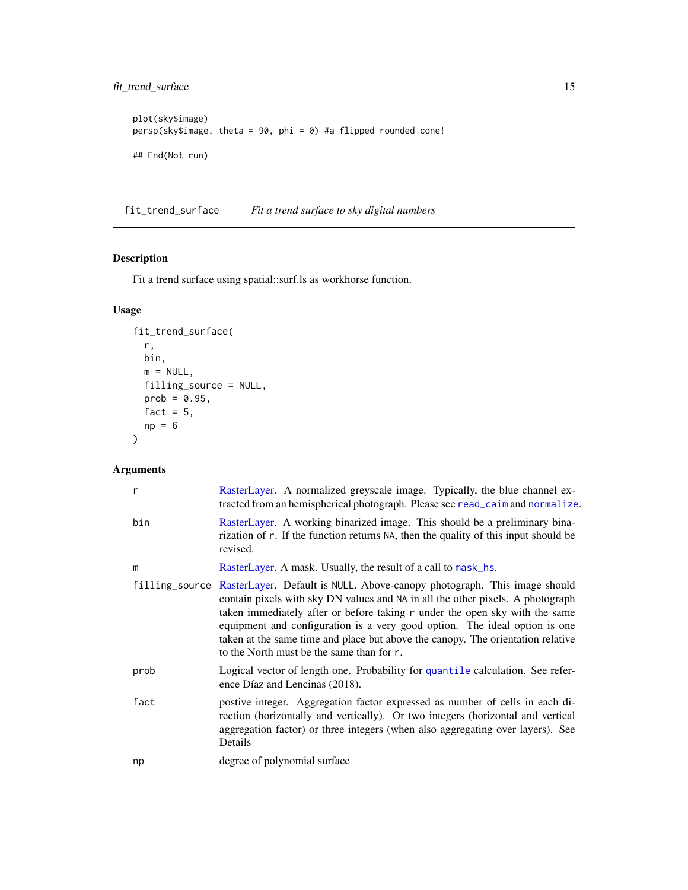```
plot(sky$image)
persp(sky$image, theta = 90, phi = 0) #a flipped rounded cone!
## End(Not run)
```
<span id="page-14-1"></span>fit\_trend\_surface *Fit a trend surface to sky digital numbers*

# Description

Fit a trend surface using spatial::surf.ls as workhorse function.

# Usage

```
fit_trend_surface(
 r,
 bin,
 m = NULL,filling_source = NULL,
 prob = 0.95,fact = 5,np = 6)
```

| r    | RasterLayer. A normalized greyscale image. Typically, the blue channel ex-<br>tracted from an hemispherical photograph. Please see read_caim and normalize.                                                                                                                                                                                                                                                                                                            |
|------|------------------------------------------------------------------------------------------------------------------------------------------------------------------------------------------------------------------------------------------------------------------------------------------------------------------------------------------------------------------------------------------------------------------------------------------------------------------------|
| bin  | RasterLayer. A working binarized image. This should be a preliminary bina-<br>rization of r. If the function returns NA, then the quality of this input should be<br>revised.                                                                                                                                                                                                                                                                                          |
| m    | RasterLayer. A mask. Usually, the result of a call to mask_hs.                                                                                                                                                                                                                                                                                                                                                                                                         |
|      | filling_source RasterLayer. Default is NULL. Above-canopy photograph. This image should<br>contain pixels with sky DN values and NA in all the other pixels. A photograph<br>taken immediately after or before taking r under the open sky with the same<br>equipment and configuration is a very good option. The ideal option is one<br>taken at the same time and place but above the canopy. The orientation relative<br>to the North must be the same than for r. |
| prob | Logical vector of length one. Probability for quantile calculation. See refer-<br>ence Díaz and Lencinas (2018).                                                                                                                                                                                                                                                                                                                                                       |
| fact | postive integer. Aggregation factor expressed as number of cells in each di-<br>rection (horizontally and vertically). Or two integers (horizontal and vertical<br>aggregation factor) or three integers (when also aggregating over layers). See<br>Details                                                                                                                                                                                                           |
| np   | degree of polynomial surface                                                                                                                                                                                                                                                                                                                                                                                                                                           |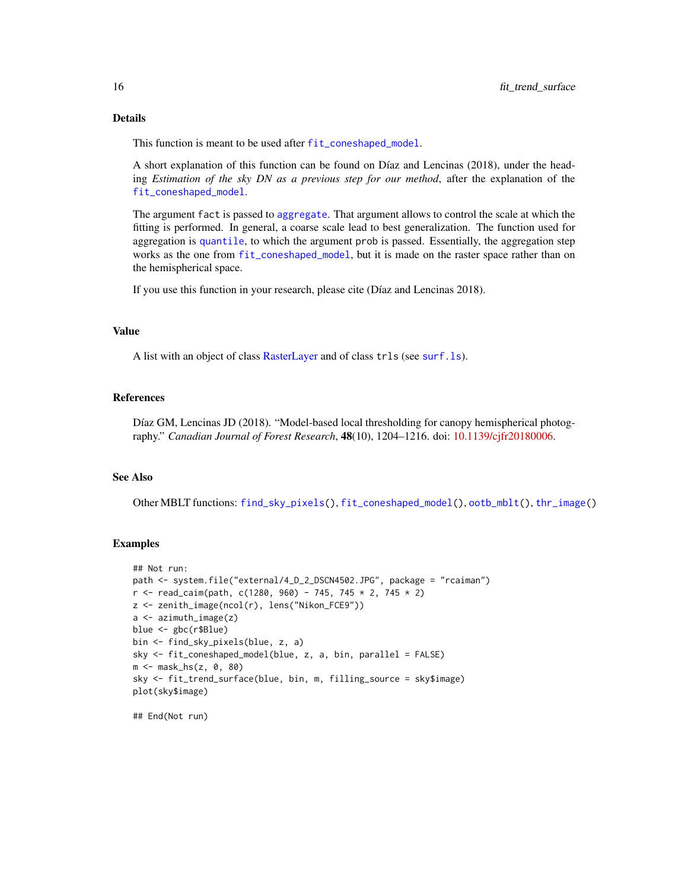# <span id="page-15-0"></span>Details

This function is meant to be used after [fit\\_coneshaped\\_model](#page-12-1).

A short explanation of this function can be found on Díaz and Lencinas (2018), under the heading *Estimation of the sky DN as a previous step for our method*, after the explanation of the [fit\\_coneshaped\\_model](#page-12-1).

The argument fact is passed to [aggregate](#page-0-0). That argument allows to control the scale at which the fitting is performed. In general, a coarse scale lead to best generalization. The function used for aggregation is [quantile](#page-0-0), to which the argument prob is passed. Essentially, the aggregation step works as the one from [fit\\_coneshaped\\_model](#page-12-1), but it is made on the raster space rather than on the hemispherical space.

If you use this function in your research, please cite (Díaz and Lencinas 2018).

#### Value

A list with an object of class [RasterLayer](#page-0-0) and of class trls (see [surf.ls](#page-0-0)).

#### References

Díaz GM, Lencinas JD (2018). "Model-based local thresholding for canopy hemispherical photography." *Canadian Journal of Forest Research*, 48(10), 1204–1216. doi: [10.1139/cjfr20180006.](https://doi.org/10.1139/cjfr-2018-0006)

#### See Also

Other MBLT functions: [find\\_sky\\_pixels\(](#page-11-1)), [fit\\_coneshaped\\_model\(](#page-12-1)), [ootb\\_mblt\(](#page-24-1)), [thr\\_image\(](#page-34-1))

#### Examples

```
## Not run:
path <- system.file("external/4_D_2_DSCN4502.JPG", package = "rcaiman")
r <- read_caim(path, c(1280, 960) - 745, 745 * 2, 745 * 2)
z <- zenith_image(ncol(r), lens("Nikon_FCE9"))
a <- azimuth_image(z)
blue <- gbc(r$Blue)
bin <- find_sky_pixels(blue, z, a)
sky <- fit_coneshaped_model(blue, z, a, bin, parallel = FALSE)
m <- mask_hs(z, 0, 80)
sky <- fit_trend_surface(blue, bin, m, filling_source = sky$image)
plot(sky$image)
```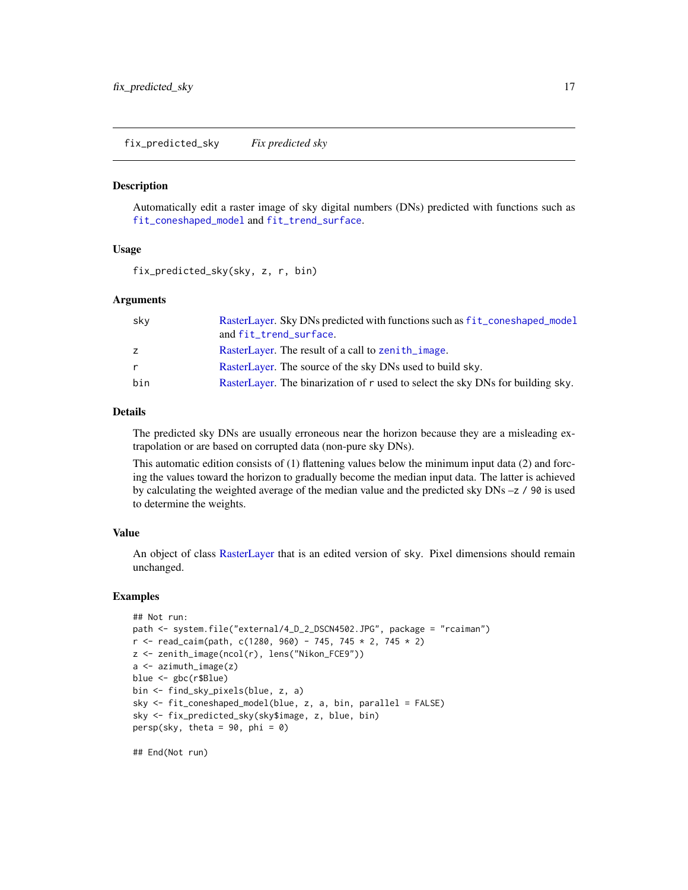<span id="page-16-1"></span><span id="page-16-0"></span>fix\_predicted\_sky *Fix predicted sky*

#### Description

Automatically edit a raster image of sky digital numbers (DNs) predicted with functions such as [fit\\_coneshaped\\_model](#page-12-1) and [fit\\_trend\\_surface](#page-14-1).

# Usage

fix\_predicted\_sky(sky, z, r, bin)

# Arguments

| sky          | RasterLayer. Sky DNs predicted with functions such as fit_coneshaped_model      |
|--------------|---------------------------------------------------------------------------------|
|              | and fit_trend_surface.                                                          |
| Z.           | RasterLayer. The result of a call to zenith_image.                              |
| $\mathsf{r}$ | RasterLayer. The source of the sky DNs used to build sky.                       |
| bin          | RasterLayer. The binarization of r used to select the sky DNs for building sky. |

# Details

The predicted sky DNs are usually erroneous near the horizon because they are a misleading extrapolation or are based on corrupted data (non-pure sky DNs).

This automatic edition consists of (1) flattening values below the minimum input data (2) and forcing the values toward the horizon to gradually become the median input data. The latter is achieved by calculating the weighted average of the median value and the predicted sky  $DNs - z$  / 90 is used to determine the weights.

# Value

An object of class [RasterLayer](#page-0-0) that is an edited version of sky. Pixel dimensions should remain unchanged.

#### Examples

```
## Not run:
path <- system.file("external/4_D_2_DSCN4502.JPG", package = "rcaiman")
r <- read_caim(path, c(1280, 960) - 745, 745 * 2, 745 * 2)
z <- zenith_image(ncol(r), lens("Nikon_FCE9"))
a <- azimuth_image(z)
blue <- gbc(r$Blue)
bin <- find_sky_pixels(blue, z, a)
sky <- fit_coneshaped_model(blue, z, a, bin, parallel = FALSE)
sky <- fix_predicted_sky(sky$image, z, blue, bin)
persp(sky, theta = 90, phi = 0)
```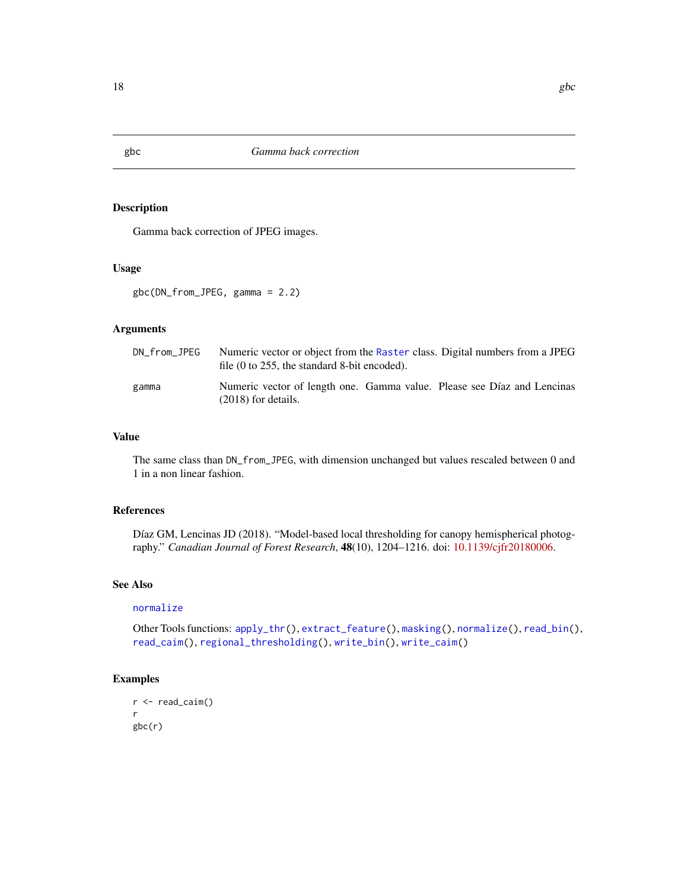# Description

Gamma back correction of JPEG images.

# Usage

gbc(DN\_from\_JPEG, gamma = 2.2)

# Arguments

| DN_from_JPEG | Numeric vector or object from the Raster class. Digital numbers from a JPEG<br>file $(0 \text{ to } 255$ , the standard 8-bit encoded). |  |  |
|--------------|-----------------------------------------------------------------------------------------------------------------------------------------|--|--|
| gamma        | Numeric vector of length one. Gamma value. Please see Díaz and Lencinas<br>$(2018)$ for details.                                        |  |  |

# Value

The same class than DN\_from\_JPEG, with dimension unchanged but values rescaled between 0 and 1 in a non linear fashion.

# References

Díaz GM, Lencinas JD (2018). "Model-based local thresholding for canopy hemispherical photography." *Canadian Journal of Forest Research*, 48(10), 1204–1216. doi: [10.1139/cjfr20180006.](https://doi.org/10.1139/cjfr-2018-0006)

# See Also

#### [normalize](#page-23-1)

Other Tools functions: [apply\\_thr\(](#page-1-1)), [extract\\_feature\(](#page-10-1)), [masking\(](#page-20-1)), [normalize\(](#page-23-1)), [read\\_bin\(](#page-26-1)), [read\\_caim\(](#page-26-2)), [regional\\_thresholding\(](#page-28-1)), [write\\_bin\(](#page-35-1)), [write\\_caim\(](#page-36-1))

# Examples

```
r <- read_caim()
r
gbc(r)
```
<span id="page-17-1"></span><span id="page-17-0"></span>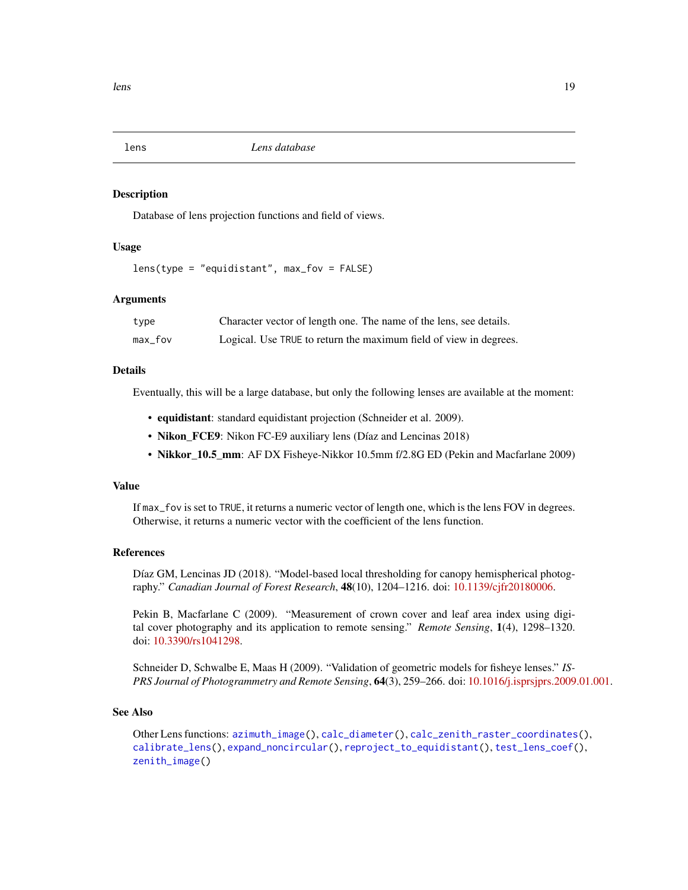<span id="page-18-1"></span><span id="page-18-0"></span>

#### **Description**

Database of lens projection functions and field of views.

# Usage

lens(type = "equidistant", max\_fov = FALSE)

# Arguments

| type      | Character vector of length one. The name of the lens, see details. |
|-----------|--------------------------------------------------------------------|
| $max_fov$ | Logical. Use TRUE to return the maximum field of view in degrees.  |

#### Details

Eventually, this will be a large database, but only the following lenses are available at the moment:

- equidistant: standard equidistant projection (Schneider et al. 2009).
- Nikon\_FCE9: Nikon FC-E9 auxiliary lens (Díaz and Lencinas 2018)
- Nikkor\_10.5\_mm: AF DX Fisheye-Nikkor 10.5mm f/2.8G ED (Pekin and Macfarlane 2009)

# Value

If max\_fov is set to TRUE, it returns a numeric vector of length one, which is the lens FOV in degrees. Otherwise, it returns a numeric vector with the coefficient of the lens function.

# References

Díaz GM, Lencinas JD (2018). "Model-based local thresholding for canopy hemispherical photography." *Canadian Journal of Forest Research*, 48(10), 1204–1216. doi: [10.1139/cjfr20180006.](https://doi.org/10.1139/cjfr-2018-0006)

Pekin B, Macfarlane C (2009). "Measurement of crown cover and leaf area index using digital cover photography and its application to remote sensing." *Remote Sensing*, 1(4), 1298–1320. doi: [10.3390/rs1041298.](https://doi.org/10.3390/rs1041298)

Schneider D, Schwalbe E, Maas H (2009). "Validation of geometric models for fisheye lenses." *IS-PRS Journal of Photogrammetry and Remote Sensing*, 64(3), 259–266. doi: [10.1016/j.isprsjprs.2009.01.001.](https://doi.org/10.1016/j.isprsjprs.2009.01.001)

# See Also

Other Lens functions: [azimuth\\_image\(](#page-2-1)), [calc\\_diameter\(](#page-3-1)), [calc\\_zenith\\_raster\\_coordinates\(](#page-4-1)), [calibrate\\_lens\(](#page-6-1)), [expand\\_noncircular\(](#page-9-1)), [reproject\\_to\\_equidistant\(](#page-30-1)), [test\\_lens\\_coef\(](#page-33-1)), [zenith\\_image\(](#page-37-1))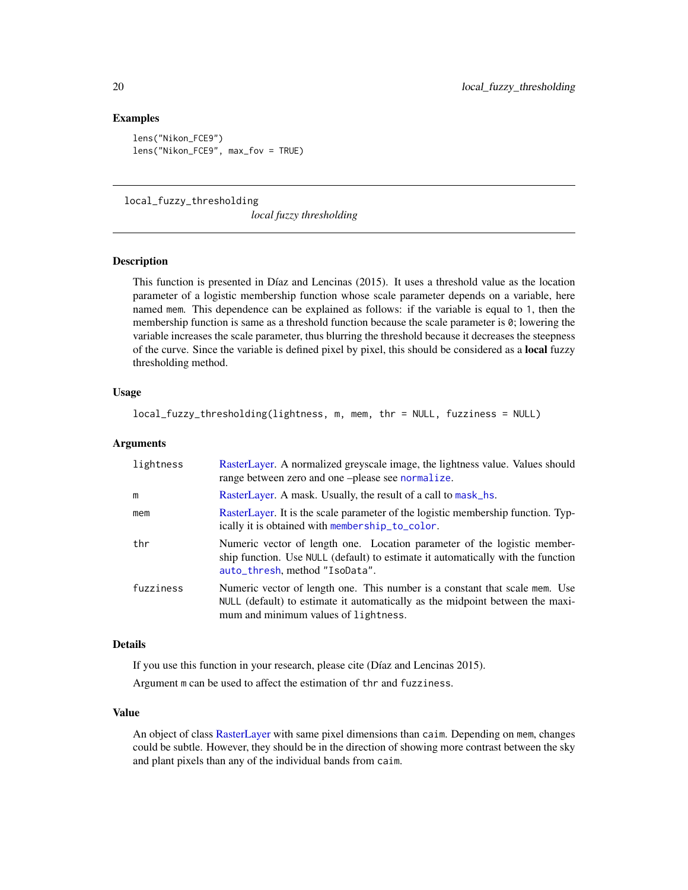# Examples

```
lens("Nikon_FCE9")
lens("Nikon_FCE9", max_fov = TRUE)
```
<span id="page-19-1"></span>local\_fuzzy\_thresholding

*local fuzzy thresholding*

# **Description**

This function is presented in Díaz and Lencinas (2015). It uses a threshold value as the location parameter of a logistic membership function whose scale parameter depends on a variable, here named mem. This dependence can be explained as follows: if the variable is equal to 1, then the membership function is same as a threshold function because the scale parameter is  $\delta$ ; lowering the variable increases the scale parameter, thus blurring the threshold because it decreases the steepness of the curve. Since the variable is defined pixel by pixel, this should be considered as a local fuzzy thresholding method.

# Usage

```
local_fuzzy_thresholding(lightness, m, mem, thr = NULL, fuzziness = NULL)
```
# Arguments

| lightness | RasterLayer. A normalized greyscale image, the lightness value. Values should<br>range between zero and one-please see normalize.                                                                    |
|-----------|------------------------------------------------------------------------------------------------------------------------------------------------------------------------------------------------------|
| m         | RasterLayer. A mask. Usually, the result of a call to mask_hs.                                                                                                                                       |
| mem       | RasterLayer. It is the scale parameter of the logistic membership function. Typ-<br>ically it is obtained with membership_to_color.                                                                  |
| thr       | Numeric vector of length one. Location parameter of the logistic member-<br>ship function. Use NULL (default) to estimate it automatically with the function<br>auto_thresh, method "IsoData".       |
| fuzziness | Numeric vector of length one. This number is a constant that scale mem. Use<br>NULL (default) to estimate it automatically as the midpoint between the maxi-<br>mum and minimum values of lightness. |

# Details

If you use this function in your research, please cite (Díaz and Lencinas 2015).

Argument m can be used to affect the estimation of thr and fuzziness.

# Value

An object of class [RasterLayer](#page-0-0) with same pixel dimensions than caim. Depending on mem, changes could be subtle. However, they should be in the direction of showing more contrast between the sky and plant pixels than any of the individual bands from caim.

<span id="page-19-0"></span>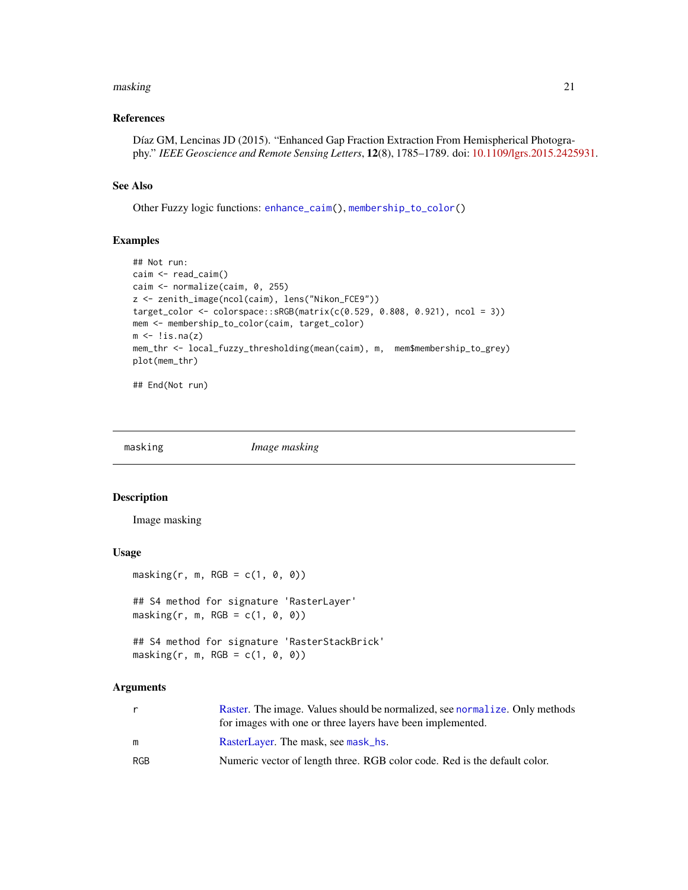#### <span id="page-20-0"></span>masking 21

# References

Díaz GM, Lencinas JD (2015). "Enhanced Gap Fraction Extraction From Hemispherical Photography." *IEEE Geoscience and Remote Sensing Letters*, 12(8), 1785–1789. doi: [10.1109/lgrs.2015.2425931.](https://doi.org/10.1109/lgrs.2015.2425931)

# See Also

Other Fuzzy logic functions: [enhance\\_caim\(](#page-7-1)), [membership\\_to\\_color\(](#page-22-1))

# Examples

```
## Not run:
caim <- read_caim()
caim <- normalize(caim, 0, 255)
z <- zenith_image(ncol(caim), lens("Nikon_FCE9"))
target_color <- colorspace::sRGB(matrix(c(0.529, 0.808, 0.921), ncol = 3))
mem <- membership_to_color(caim, target_color)
m \leftarrow !is.na(z)
mem_thr <- local_fuzzy_thresholding(mean(caim), m, mem$membership_to_grey)
plot(mem_thr)
```
## End(Not run)

<span id="page-20-1"></span>

masking *Image masking*

#### Description

Image masking

# Usage

```
masking(r, m, RGB = c(1, 0, 0))## S4 method for signature 'RasterLayer'
masking(r, m, RGB = c(1, 0, 0))
```

```
## S4 method for signature 'RasterStackBrick'
masking(r, m, RGB = c(1, 0, 0))
```

| r   | Raster. The image. Values should be normalized, see normalize. Only methods<br>for images with one or three layers have been implemented. |
|-----|-------------------------------------------------------------------------------------------------------------------------------------------|
| m   | RasterLayer. The mask, see mask_hs.                                                                                                       |
| RGB | Numeric vector of length three. RGB color code. Red is the default color.                                                                 |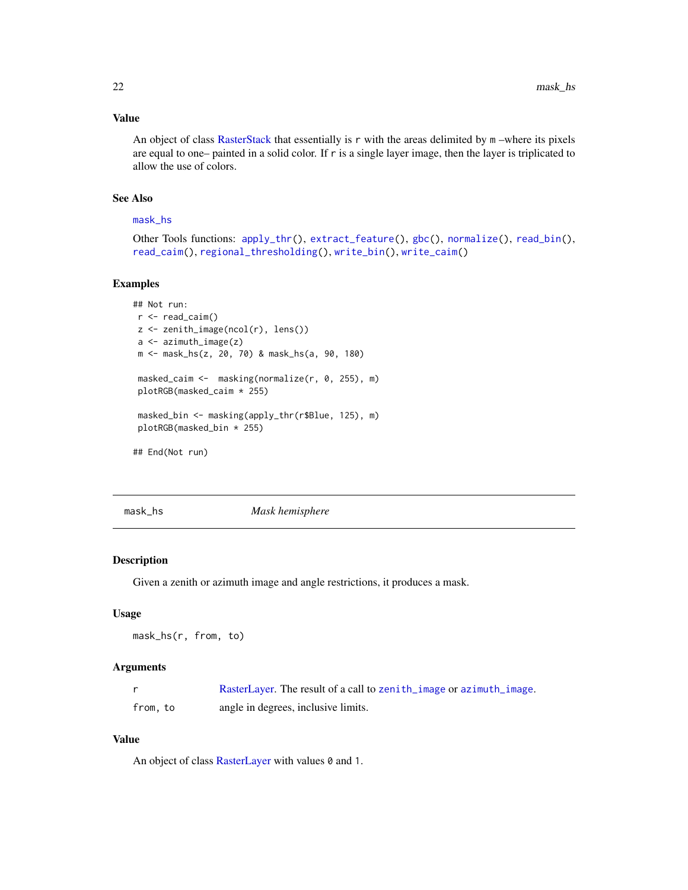# Value

An object of class [RasterStack](#page-0-0) that essentially is r with the areas delimited by m –where its pixels are equal to one– painted in a solid color. If r is a single layer image, then the layer is triplicated to allow the use of colors.

# See Also

#### [mask\\_hs](#page-21-1)

Other Tools functions: [apply\\_thr\(](#page-1-1)), [extract\\_feature\(](#page-10-1)), [gbc\(](#page-17-1)), [normalize\(](#page-23-1)), [read\\_bin\(](#page-26-1)), [read\\_caim\(](#page-26-2)), [regional\\_thresholding\(](#page-28-1)), [write\\_bin\(](#page-35-1)), [write\\_caim\(](#page-36-1))

# Examples

```
## Not run:
r < - read_caim()
z <- zenith_image(ncol(r), lens())
a <- azimuth_image(z)
m <- mask_hs(z, 20, 70) & mask_hs(a, 90, 180)
masked_caim <- masking(normalize(r, 0, 255), m)
plotRGB(masked_caim * 255)
masked_bin <- masking(apply_thr(r$Blue, 125), m)
plotRGB(masked_bin * 255)
## End(Not run)
```
<span id="page-21-1"></span>

mask\_hs *Mask hemisphere*

# Description

Given a zenith or azimuth image and angle restrictions, it produces a mask.

# Usage

```
mask_hs(r, from, to)
```
## Arguments

|          | RasterLayer. The result of a call to zenith_image or azimuth_image. |
|----------|---------------------------------------------------------------------|
| from, to | angle in degrees, inclusive limits.                                 |

# Value

An object of class [RasterLayer](#page-0-0) with values 0 and 1.

<span id="page-21-0"></span>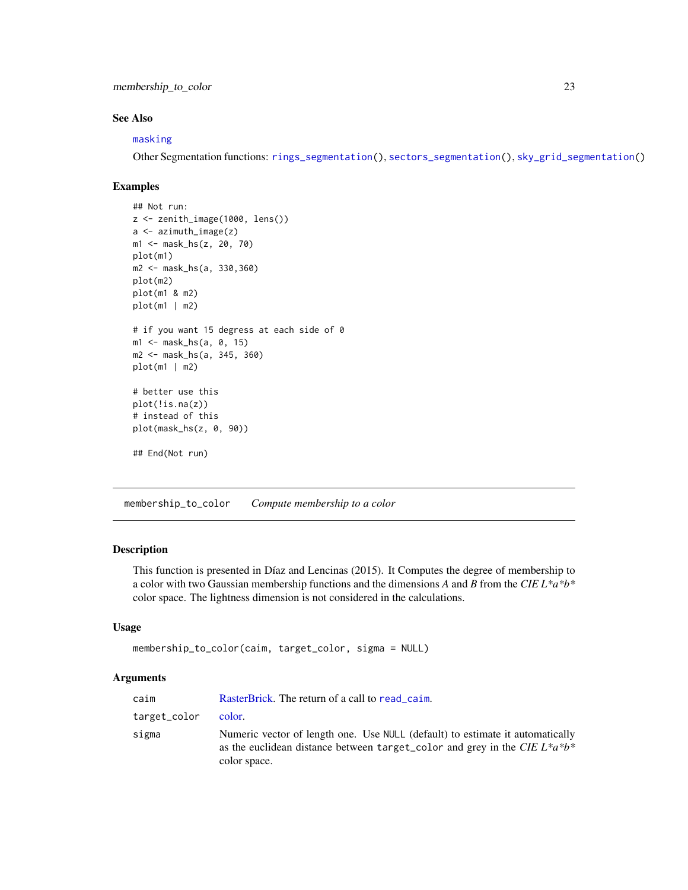<span id="page-22-0"></span>membership\_to\_color 23

# See Also

#### [masking](#page-20-1)

Other Segmentation functions: [rings\\_segmentation\(](#page-31-1)), [sectors\\_segmentation\(](#page-31-2)), [sky\\_grid\\_segmentation\(](#page-32-1))

# Examples

```
## Not run:
z \le zenith_image(1000, lens())
a \leq -azimuth_image(z)
m1 <- mask_hs(z, 20, 70)
plot(m1)
m2 <- mask_hs(a, 330,360)
plot(m2)
plot(m1 & m2)
plot(m1 | m2)
# if you want 15 degress at each side of 0
m1 <- mask_hs(a, 0, 15)
m2 <- mask_hs(a, 345, 360)
plot(m1 | m2)
# better use this
plot(!is.na(z))
# instead of this
plot(mask_hs(z, 0, 90))
## End(Not run)
```
<span id="page-22-1"></span>membership\_to\_color *Compute membership to a color*

# **Description**

This function is presented in Díaz and Lencinas (2015). It Computes the degree of membership to a color with two Gaussian membership functions and the dimensions *A* and *B* from the *CIE L\*a\*b\** color space. The lightness dimension is not considered in the calculations.

# Usage

```
membership_to_color(caim, target_color, sigma = NULL)
```

| caim         | RasterBrick. The return of a call to read caim.                                                                                                                                 |
|--------------|---------------------------------------------------------------------------------------------------------------------------------------------------------------------------------|
| target_color | color.                                                                                                                                                                          |
| sigma        | Numeric vector of length one. Use NULL (default) to estimate it automatically<br>as the euclidean distance between target color and grey in the CIE $L^*a^*b^*$<br>color space. |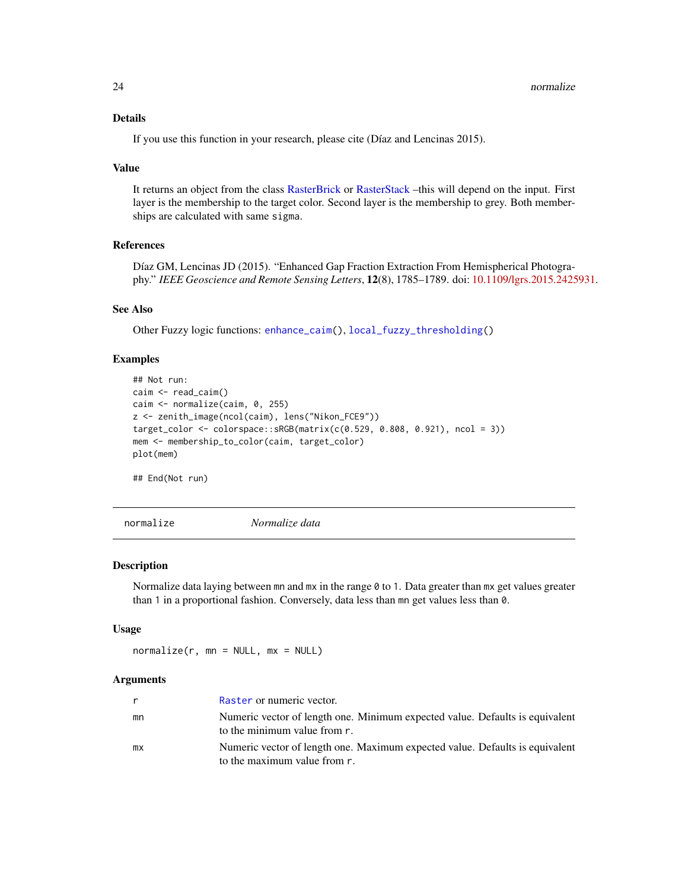# <span id="page-23-0"></span>Details

If you use this function in your research, please cite (Díaz and Lencinas 2015).

#### Value

It returns an object from the class [RasterBrick](#page-0-0) or [RasterStack](#page-0-0) –this will depend on the input. First layer is the membership to the target color. Second layer is the membership to grey. Both memberships are calculated with same sigma.

# References

Díaz GM, Lencinas JD (2015). "Enhanced Gap Fraction Extraction From Hemispherical Photography." *IEEE Geoscience and Remote Sensing Letters*, 12(8), 1785–1789. doi: [10.1109/lgrs.2015.2425931.](https://doi.org/10.1109/lgrs.2015.2425931)

# See Also

Other Fuzzy logic functions: [enhance\\_caim\(](#page-7-1)), [local\\_fuzzy\\_thresholding\(](#page-19-1))

# Examples

```
## Not run:
caim <- read_caim()
caim <- normalize(caim, 0, 255)
z <- zenith_image(ncol(caim), lens("Nikon_FCE9"))
target_color <- colorspace::sRGB(matrix(c(0.529, 0.808, 0.921), ncol = 3))
mem <- membership_to_color(caim, target_color)
plot(mem)
```
## End(Not run)

<span id="page-23-1"></span>normalize *Normalize data*

#### Description

Normalize data laying between mn and mx in the range 0 to 1. Data greater than mx get values greater than 1 in a proportional fashion. Conversely, data less than mn get values less than 0.

# Usage

 $normalize(r, mn = NULL, mx = NULL)$ 

|    | Raster or numeric vector.                                                                                    |
|----|--------------------------------------------------------------------------------------------------------------|
| mn | Numeric vector of length one. Minimum expected value. Defaults is equivalent<br>to the minimum value from r. |
| mx | Numeric vector of length one. Maximum expected value. Defaults is equivalent<br>to the maximum value from r. |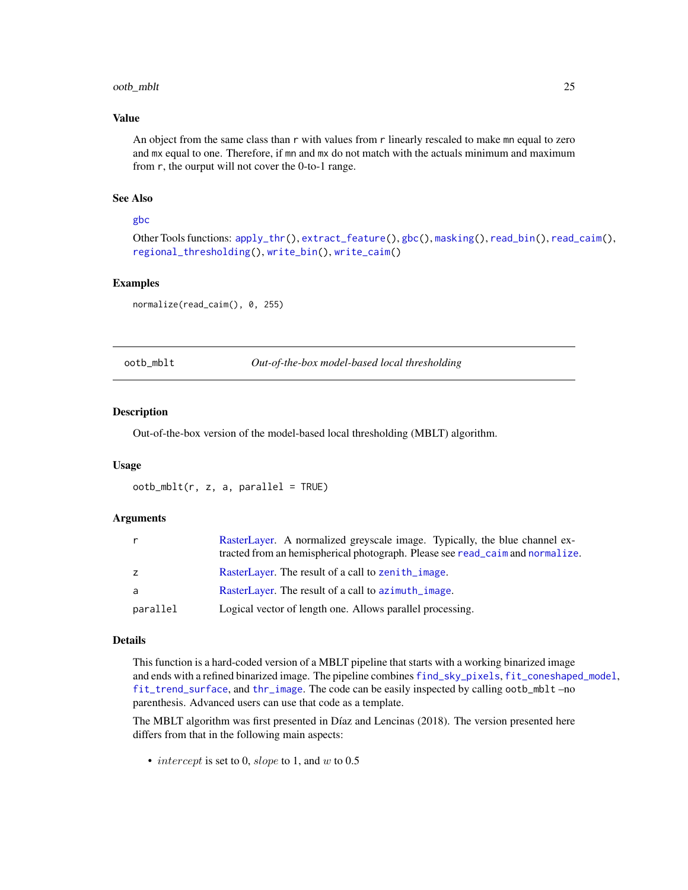# <span id="page-24-0"></span>ootb\_mblt 25

# Value

An object from the same class than r with values from r linearly rescaled to make mn equal to zero and mx equal to one. Therefore, if mn and mx do not match with the actuals minimum and maximum from r, the ourput will not cover the 0-to-1 range.

# See Also

#### [gbc](#page-17-1)

Other Tools functions: [apply\\_thr\(](#page-1-1)), [extract\\_feature\(](#page-10-1)), [gbc\(](#page-17-1)), [masking\(](#page-20-1)), [read\\_bin\(](#page-26-1)), [read\\_caim\(](#page-26-2)), [regional\\_thresholding\(](#page-28-1)), [write\\_bin\(](#page-35-1)), [write\\_caim\(](#page-36-1))

# Examples

normalize(read\_caim(), 0, 255)

<span id="page-24-1"></span>ootb\_mblt *Out-of-the-box model-based local thresholding*

#### Description

Out-of-the-box version of the model-based local thresholding (MBLT) algorithm.

#### Usage

```
ootb_mblt(r, z, a, parallel = TRUE)
```
#### Arguments

|          | RasterLayer. A normalized greyscale image. Typically, the blue channel ex-<br>tracted from an hemispherical photograph. Please see read_caim and normalize. |
|----------|-------------------------------------------------------------------------------------------------------------------------------------------------------------|
| z        | RasterLayer. The result of a call to zenith_image.                                                                                                          |
| a        | RasterLayer. The result of a call to azimuth_image.                                                                                                         |
| parallel | Logical vector of length one. Allows parallel processing.                                                                                                   |

#### Details

This function is a hard-coded version of a MBLT pipeline that starts with a working binarized image and ends with a refined binarized image. The pipeline combines [find\\_sky\\_pixels](#page-11-1), [fit\\_coneshaped\\_model](#page-12-1), [fit\\_trend\\_surface](#page-14-1), and [thr\\_image](#page-34-1). The code can be easily inspected by calling ootb\_mblt –no parenthesis. Advanced users can use that code as a template.

The MBLT algorithm was first presented in Díaz and Lencinas (2018). The version presented here differs from that in the following main aspects:

• intercept is set to 0, slope to 1, and  $w$  to 0.5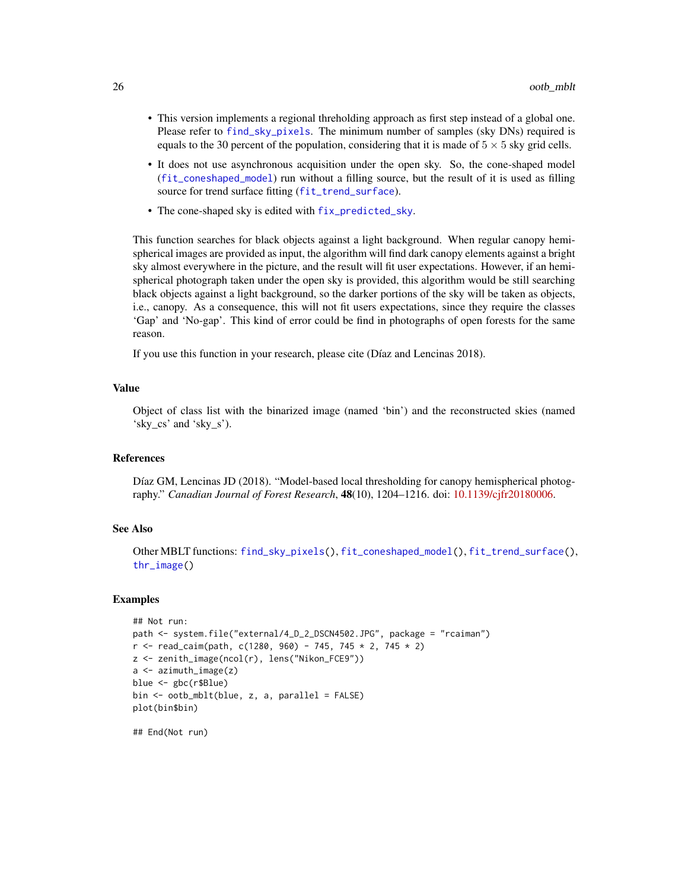- <span id="page-25-0"></span>• This version implements a regional threholding approach as first step instead of a global one. Please refer to [find\\_sky\\_pixels](#page-11-1). The minimum number of samples (sky DNs) required is equals to the 30 percent of the population, considering that it is made of  $5 \times 5$  sky grid cells.
- It does not use asynchronous acquisition under the open sky. So, the cone-shaped model ([fit\\_coneshaped\\_model](#page-12-1)) run without a filling source, but the result of it is used as filling source for trend surface fitting ([fit\\_trend\\_surface](#page-14-1)).
- The cone-shaped sky is edited with [fix\\_predicted\\_sky](#page-16-1).

This function searches for black objects against a light background. When regular canopy hemispherical images are provided as input, the algorithm will find dark canopy elements against a bright sky almost everywhere in the picture, and the result will fit user expectations. However, if an hemispherical photograph taken under the open sky is provided, this algorithm would be still searching black objects against a light background, so the darker portions of the sky will be taken as objects, i.e., canopy. As a consequence, this will not fit users expectations, since they require the classes 'Gap' and 'No-gap'. This kind of error could be find in photographs of open forests for the same reason.

If you use this function in your research, please cite (Díaz and Lencinas 2018).

# Value

Object of class list with the binarized image (named 'bin') and the reconstructed skies (named 'sky\_cs' and 'sky\_s').

# References

Díaz GM, Lencinas JD (2018). "Model-based local thresholding for canopy hemispherical photography." *Canadian Journal of Forest Research*, 48(10), 1204–1216. doi: [10.1139/cjfr20180006.](https://doi.org/10.1139/cjfr-2018-0006)

# See Also

Other MBLT functions: [find\\_sky\\_pixels\(](#page-11-1)), [fit\\_coneshaped\\_model\(](#page-12-1)), [fit\\_trend\\_surface\(](#page-14-1)), [thr\\_image\(](#page-34-1))

#### Examples

```
## Not run:
path <- system.file("external/4_D_2_DSCN4502.JPG", package = "rcaiman")
r <- read_caim(path, c(1280, 960) - 745, 745 * 2, 745 * 2)
z <- zenith_image(ncol(r), lens("Nikon_FCE9"))
a <- azimuth_image(z)
blue <- gbc(r$Blue)
bin <- ootb_mblt(blue, z, a, parallel = FALSE)
plot(bin$bin)
```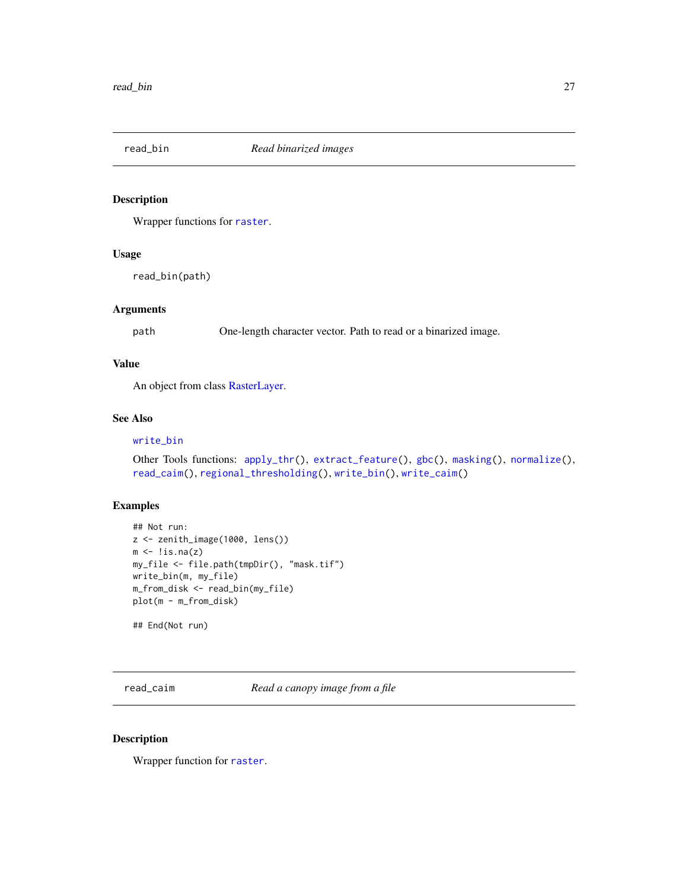<span id="page-26-1"></span><span id="page-26-0"></span>

# Description

Wrapper functions for [raster](#page-0-0).

# Usage

read\_bin(path)

# Arguments

path One-length character vector. Path to read or a binarized image.

# Value

An object from class [RasterLayer.](#page-0-0)

# See Also

# [write\\_bin](#page-35-1)

```
Other Tools functions: apply_thr(), extract_feature(), gbc(), masking(), normalize(),
read_caim(), regional_thresholding(), write_bin(), write_caim()
```
# Examples

```
## Not run:
z <- zenith_image(1000, lens())
m \leftarrow !is.na(z)
my_file <- file.path(tmpDir(), "mask.tif")
write_bin(m, my_file)
m_from_disk <- read_bin(my_file)
plot(m - m_from_disk)
```
## End(Not run)

<span id="page-26-2"></span>read\_caim *Read a canopy image from a file*

# Description

Wrapper function for [raster](#page-0-0).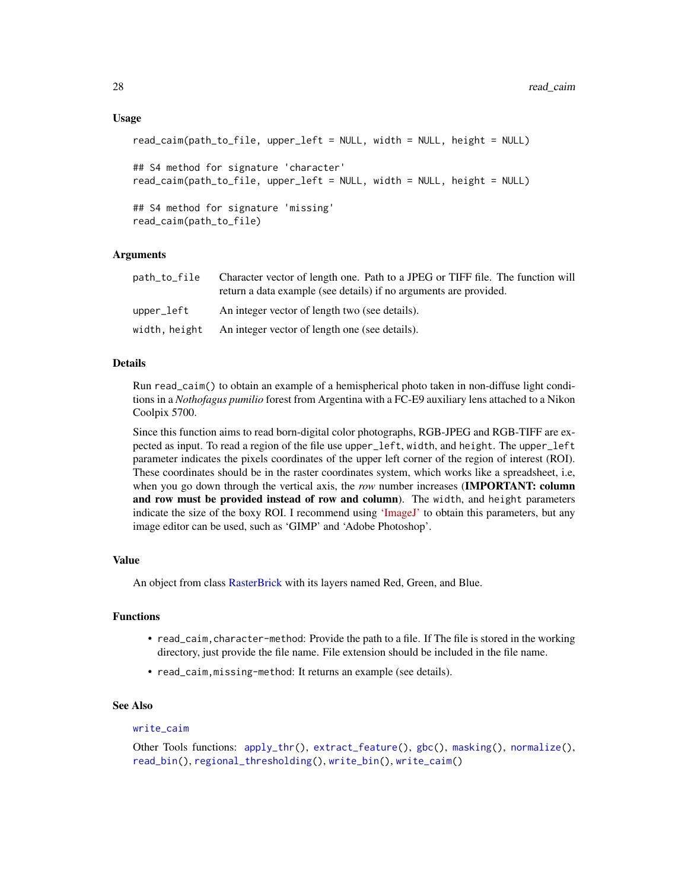```
read_caim(path_to_file, upper_left = NULL, width = NULL, height = NULL)
## S4 method for signature 'character'
read_caim(path_to_file, upper_left = NULL, width = NULL, height = NULL)
## S4 method for signature 'missing'
read_caim(path_to_file)
```
# Arguments

| path_to_file | Character vector of length one. Path to a JPEG or TIFF file. The function will<br>return a data example (see details) if no arguments are provided. |
|--------------|-----------------------------------------------------------------------------------------------------------------------------------------------------|
| upper_left   | An integer vector of length two (see details).                                                                                                      |
|              | width, height An integer vector of length one (see details).                                                                                        |

# Details

Run read\_caim() to obtain an example of a hemispherical photo taken in non-diffuse light conditions in a *Nothofagus pumilio* forest from Argentina with a FC-E9 auxiliary lens attached to a Nikon Coolpix 5700.

Since this function aims to read born-digital color photographs, RGB-JPEG and RGB-TIFF are expected as input. To read a region of the file use upper\_left, width, and height. The upper\_left parameter indicates the pixels coordinates of the upper left corner of the region of interest (ROI). These coordinates should be in the raster coordinates system, which works like a spreadsheet, i.e, when you go down through the vertical axis, the *row* number increases (**IMPORTANT: column** and row must be provided instead of row and column). The width, and height parameters indicate the size of the boxy ROI. I recommend using ['ImageJ'](https://imagej.nih.gov/ij/) to obtain this parameters, but any image editor can be used, such as 'GIMP' and 'Adobe Photoshop'.

#### Value

An object from class [RasterBrick](#page-0-0) with its layers named Red, Green, and Blue.

# Functions

- read\_caim, character-method: Provide the path to a file. If The file is stored in the working directory, just provide the file name. File extension should be included in the file name.
- read\_caim,missing-method: It returns an example (see details).

#### See Also

#### write caim

```
Other Tools functions: apply_thr(), extract_feature(), gbc(), masking(), normalize(),
read_bin(), regional_thresholding(), write_bin(), write_caim()
```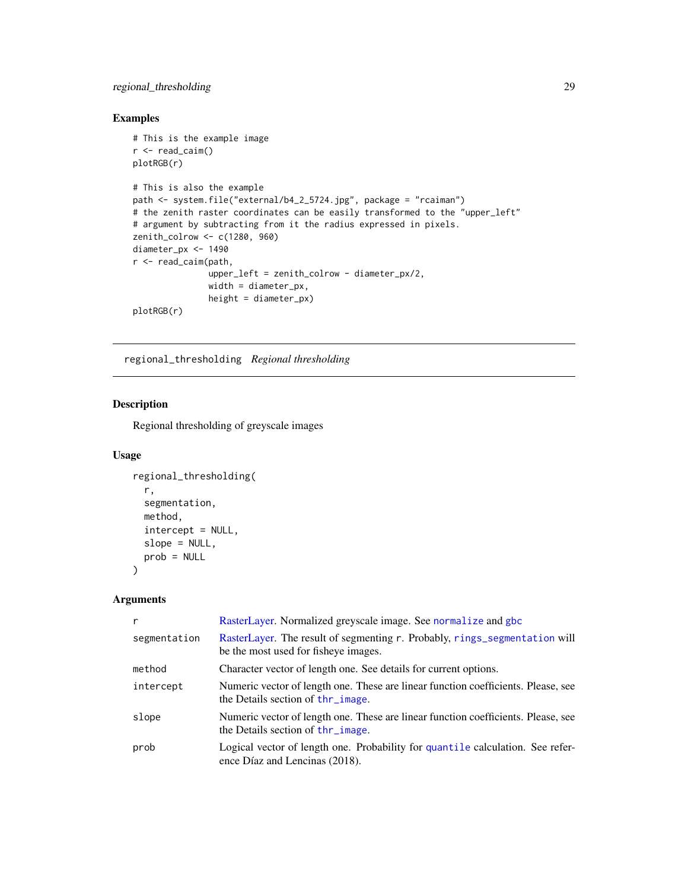# <span id="page-28-0"></span>regional\_thresholding 29

# Examples

```
# This is the example image
r < - read_caim()
plotRGB(r)
# This is also the example
path <- system.file("external/b4_2_5724.jpg", package = "rcaiman")
# the zenith raster coordinates can be easily transformed to the "upper_left"
# argument by subtracting from it the radius expressed in pixels.
zenith_colrow <- c(1280, 960)
diameter_px <- 1490
r <- read_caim(path,
               upper_left = zenith_colrow - diameter_px/2,
               width = diameter_px,
               height = diameter_px)
plotRGB(r)
```
<span id="page-28-1"></span>regional\_thresholding *Regional thresholding*

# Description

Regional thresholding of greyscale images

#### Usage

```
regional_thresholding(
  r,
  segmentation,
 method,
  intercept = NULL,
 slope = NULL,
 prob = NULL
)
```

| r            | RasterLayer. Normalized greyscale image. See normalize and gbc                                                         |
|--------------|------------------------------------------------------------------------------------------------------------------------|
| segmentation | RasterLayer. The result of segmenting r. Probably, rings_segmentation will<br>be the most used for fisheye images.     |
| method       | Character vector of length one. See details for current options.                                                       |
| intercept    | Numeric vector of length one. These are linear function coefficients. Please, see<br>the Details section of thr_image. |
| slope        | Numeric vector of length one. These are linear function coefficients. Please, see<br>the Details section of thr_image. |
| prob         | Logical vector of length one. Probability for quantile calculation. See refer-<br>ence Díaz and Lencinas (2018).       |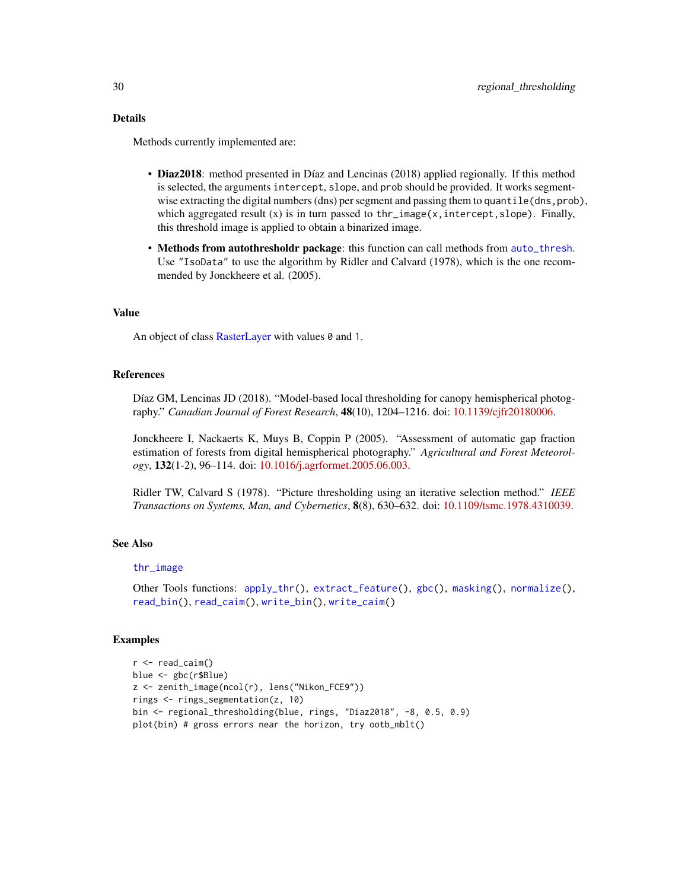## <span id="page-29-0"></span>Details

Methods currently implemented are:

- Diaz2018: method presented in Díaz and Lencinas (2018) applied regionally. If this method is selected, the arguments intercept, slope, and prob should be provided. It works segmentwise extracting the digital numbers (dns) per segment and passing them to quantile (dns, prob), which aggregated result  $(x)$  is in turn passed to thr\_image $(x,$  intercept, slope). Finally, this threshold image is applied to obtain a binarized image.
- Methods from autothresholdr package: this function can call methods from [auto\\_thresh](#page-0-0). Use "IsoData" to use the algorithm by Ridler and Calvard (1978), which is the one recommended by Jonckheere et al. (2005).

#### Value

An object of class [RasterLayer](#page-0-0) with values  $\theta$  and 1.

## References

Díaz GM, Lencinas JD (2018). "Model-based local thresholding for canopy hemispherical photography." *Canadian Journal of Forest Research*, 48(10), 1204–1216. doi: [10.1139/cjfr20180006.](https://doi.org/10.1139/cjfr-2018-0006)

Jonckheere I, Nackaerts K, Muys B, Coppin P (2005). "Assessment of automatic gap fraction estimation of forests from digital hemispherical photography." *Agricultural and Forest Meteorology*, 132(1-2), 96–114. doi: [10.1016/j.agrformet.2005.06.003.](https://doi.org/10.1016/j.agrformet.2005.06.003)

Ridler TW, Calvard S (1978). "Picture thresholding using an iterative selection method." *IEEE Transactions on Systems, Man, and Cybernetics*, 8(8), 630–632. doi: [10.1109/tsmc.1978.4310039.](https://doi.org/10.1109/tsmc.1978.4310039)

# See Also

# [thr\\_image](#page-34-1)

```
Other Tools functions: apply_thr(), extract_feature(), gbc(), masking(), normalize(),
read_bin(), read_caim(), write_bin(), write_caim()
```
#### Examples

```
r < - read_caim()
blue <- gbc(r$Blue)
z <- zenith_image(ncol(r), lens("Nikon_FCE9"))
rings <- rings_segmentation(z, 10)
bin <- regional_thresholding(blue, rings, "Diaz2018", -8, 0.5, 0.9)
plot(bin) # gross errors near the horizon, try ootb_mblt()
```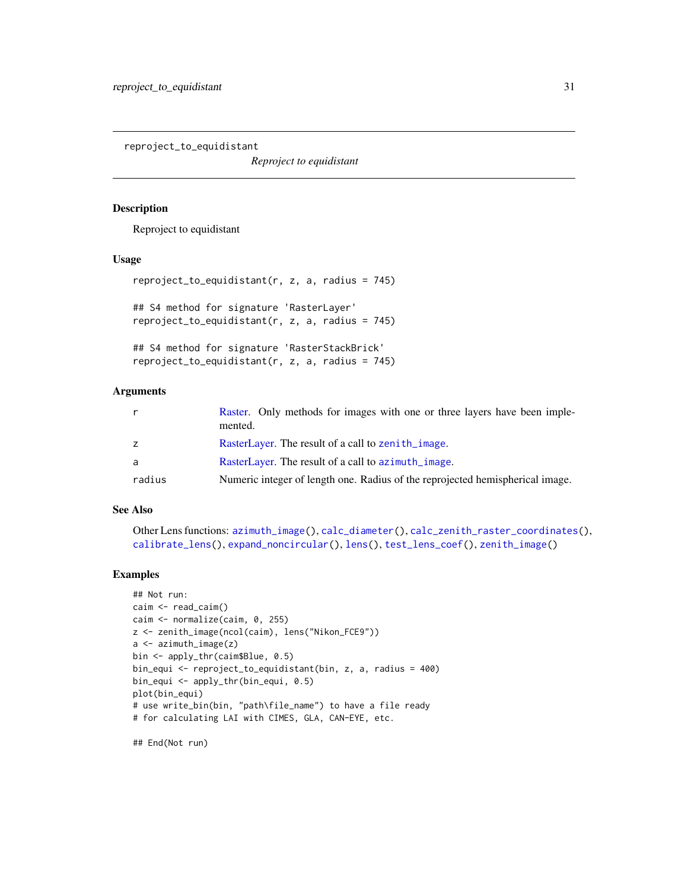<span id="page-30-1"></span><span id="page-30-0"></span>reproject\_to\_equidistant

*Reproject to equidistant*

#### Description

Reproject to equidistant

# Usage

```
reproject_to_equidistant(r, z, a, radius = 745)## S4 method for signature 'RasterLayer'
reproject_to_equidistant(r, z, a, radius = 745)
## S4 method for signature 'RasterStackBrick'
reproject_to_equidistant(r, z, a, radius = 745)
```
# **Arguments**

|        | Raster. Only methods for images with one or three layers have been imple-<br>mented. |
|--------|--------------------------------------------------------------------------------------|
| z      | RasterLayer. The result of a call to zenith_image.                                   |
| a      | RasterLayer. The result of a call to azimuth_image.                                  |
| radius | Numeric integer of length one. Radius of the reprojected hemispherical image.        |

# See Also

```
Other Lens functions: azimuth_image(), calc_diameter(), calc_zenith_raster_coordinates(),
calibrate_lens(), expand_noncircular(), lens(), test_lens_coef(), zenith_image()
```
# Examples

```
## Not run:
caim <- read_caim()
caim <- normalize(caim, 0, 255)
z <- zenith_image(ncol(caim), lens("Nikon_FCE9"))
a <- azimuth_image(z)
bin <- apply_thr(caim$Blue, 0.5)
bin_equi <- reproject_to_equidistant(bin, z, a, radius = 400)
bin_equi <- apply_thr(bin_equi, 0.5)
plot(bin_equi)
# use write_bin(bin, "path\file_name") to have a file ready
# for calculating LAI with CIMES, GLA, CAN-EYE, etc.
```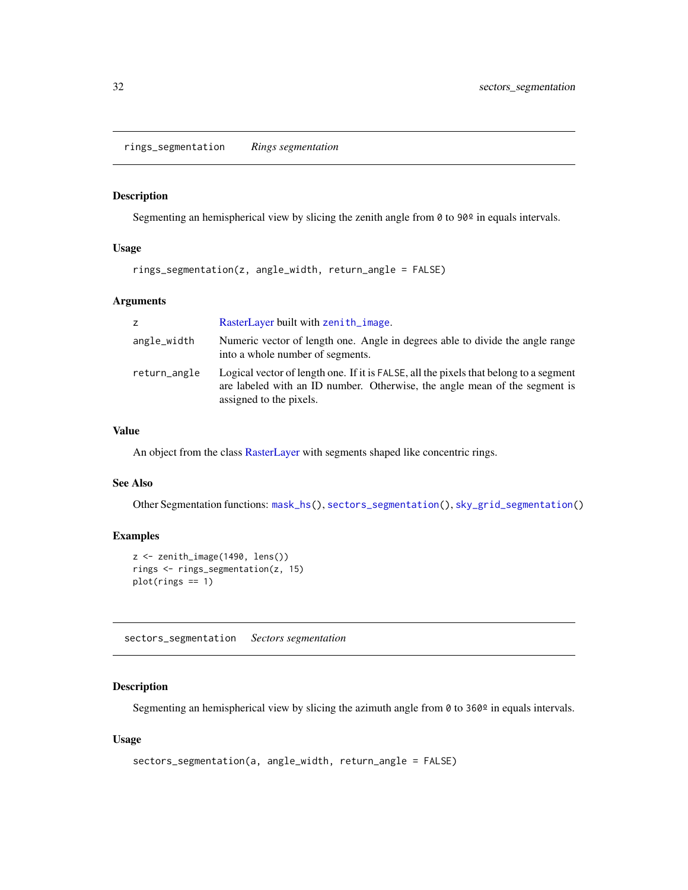<span id="page-31-1"></span><span id="page-31-0"></span>rings\_segmentation *Rings segmentation*

#### Description

Segmenting an hemispherical view by slicing the zenith angle from  $\theta$  to  $90^{\circ}$  in equals intervals.

# Usage

```
rings_segmentation(z, angle_width, return_angle = FALSE)
```
# Arguments

| Z.           | RasterLayer built with zenith_image.                                                                                                                                                           |
|--------------|------------------------------------------------------------------------------------------------------------------------------------------------------------------------------------------------|
| angle_width  | Numeric vector of length one. Angle in degrees able to divide the angle range<br>into a whole number of segments.                                                                              |
| return_angle | Logical vector of length one. If it is FALSE, all the pixels that belong to a segment<br>are labeled with an ID number. Otherwise, the angle mean of the segment is<br>assigned to the pixels. |

# Value

An object from the class [RasterLayer](#page-0-0) with segments shaped like concentric rings.

# See Also

Other Segmentation functions: [mask\\_hs\(](#page-21-1)), [sectors\\_segmentation\(](#page-31-2)), [sky\\_grid\\_segmentation\(](#page-32-1))

# Examples

```
z <- zenith_image(1490, lens())
rings <- rings_segmentation(z, 15)
plot(rings == 1)
```
<span id="page-31-2"></span>sectors\_segmentation *Sectors segmentation*

# Description

Segmenting an hemispherical view by slicing the azimuth angle from  $\theta$  to 360 $\degree$  in equals intervals.

# Usage

```
sectors_segmentation(a, angle_width, return_angle = FALSE)
```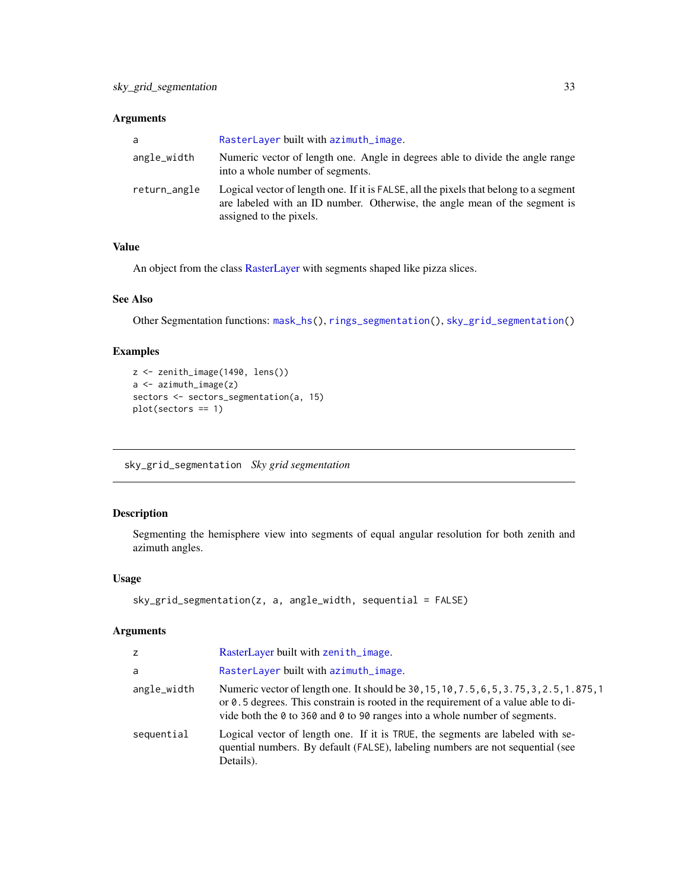# <span id="page-32-0"></span>Arguments

| a            | RasterLayer built with azimuth_image.                                                                                                                                                          |
|--------------|------------------------------------------------------------------------------------------------------------------------------------------------------------------------------------------------|
| angle_width  | Numeric vector of length one. Angle in degrees able to divide the angle range<br>into a whole number of segments.                                                                              |
| return_angle | Logical vector of length one. If it is FALSE, all the pixels that belong to a segment<br>are labeled with an ID number. Otherwise, the angle mean of the segment is<br>assigned to the pixels. |

# Value

An object from the class [RasterLayer](#page-0-0) with segments shaped like pizza slices.

# See Also

Other Segmentation functions: [mask\\_hs\(](#page-21-1)), [rings\\_segmentation\(](#page-31-1)), [sky\\_grid\\_segmentation\(](#page-32-1))

# Examples

```
z <- zenith_image(1490, lens())
a <- azimuth_image(z)
sectors <- sectors_segmentation(a, 15)
plot(sectors == 1)
```
<span id="page-32-1"></span>sky\_grid\_segmentation *Sky grid segmentation*

# Description

Segmenting the hemisphere view into segments of equal angular resolution for both zenith and azimuth angles.

# Usage

```
sky_grid_segmentation(z, a, angle_width, sequential = FALSE)
```

| z           | RasterLayer built with zenith_image.                                                                                                                                                                                                                                  |
|-------------|-----------------------------------------------------------------------------------------------------------------------------------------------------------------------------------------------------------------------------------------------------------------------|
| a           | RasterLayer built with azimuth_image.                                                                                                                                                                                                                                 |
| angle_width | Numeric vector of length one. It should be 30, 15, 10, 7.5, 6, 5, 3.75, 3, 2.5, 1.875, 1<br>or $\theta$ . 5 degrees. This constrain is rooted in the requirement of a value able to di-<br>vide both the 0 to 360 and 0 to 90 ranges into a whole number of segments. |
| sequential  | Logical vector of length one. If it is TRUE, the segments are labeled with se-<br>quential numbers. By default (FALSE), labeling numbers are not sequential (see<br>Details).                                                                                         |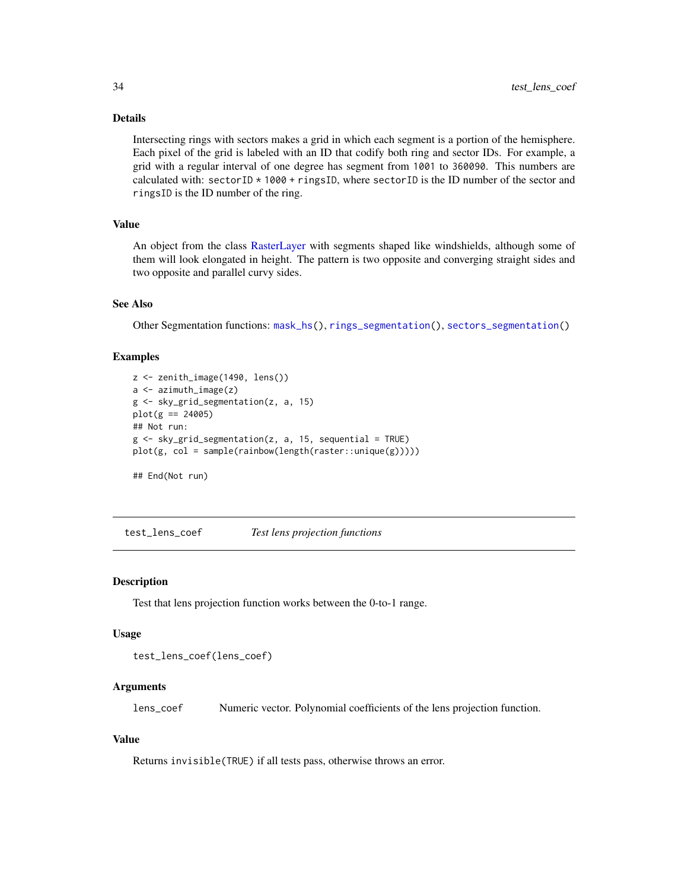# <span id="page-33-0"></span>Details

Intersecting rings with sectors makes a grid in which each segment is a portion of the hemisphere. Each pixel of the grid is labeled with an ID that codify both ring and sector IDs. For example, a grid with a regular interval of one degree has segment from 1001 to 360090. This numbers are calculated with: sectorID \* 1000 + ringsID, where sectorID is the ID number of the sector and ringsID is the ID number of the ring.

# Value

An object from the class [RasterLayer](#page-0-0) with segments shaped like windshields, although some of them will look elongated in height. The pattern is two opposite and converging straight sides and two opposite and parallel curvy sides.

# See Also

Other Segmentation functions: [mask\\_hs\(](#page-21-1)), [rings\\_segmentation\(](#page-31-1)), [sectors\\_segmentation\(](#page-31-2))

# Examples

```
z <- zenith_image(1490, lens())
a <- azimuth_image(z)
g <- sky_grid_segmentation(z, a, 15)
plot(g == 24005)## Not run:
g \leftarrow sky\_grid\_segmentation(z, a, 15, sequential = TRUE)plot(g, col = sample(rainbow(length(raster::unique(g)))))
```
## End(Not run)

<span id="page-33-1"></span>test\_lens\_coef *Test lens projection functions*

#### Description

Test that lens projection function works between the 0-to-1 range.

#### Usage

```
test_lens_coef(lens_coef)
```
# Arguments

lens\_coef Numeric vector. Polynomial coefficients of the lens projection function.

# Value

Returns invisible(TRUE) if all tests pass, otherwise throws an error.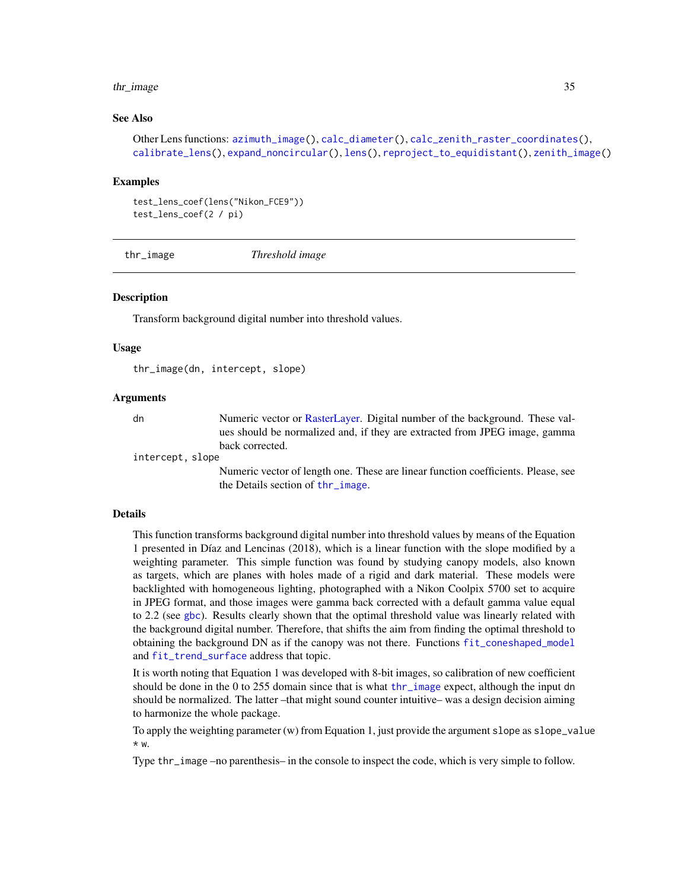#### <span id="page-34-0"></span>thr\_image 35

# See Also

```
Other Lens functions: azimuth_image(), calc_diameter(), calc_zenith_raster_coordinates(),
calibrate_lens(), expand_noncircular(), lens(), reproject_to_equidistant(), zenith_image()
```
#### Examples

```
test_lens_coef(lens("Nikon_FCE9"))
test_lens_coef(2 / pi)
```
<span id="page-34-1"></span>thr\_image *Threshold image*

# Description

Transform background digital number into threshold values.

# Usage

thr\_image(dn, intercept, slope)

# Arguments

dn Numeric vector or [RasterLayer.](#page-0-0) Digital number of the background. These values should be normalized and, if they are extracted from JPEG image, gamma back corrected.

intercept, slope

Numeric vector of length one. These are linear function coefficients. Please, see the Details section of [thr\\_image](#page-34-1).

## Details

This function transforms background digital number into threshold values by means of the Equation 1 presented in Díaz and Lencinas (2018), which is a linear function with the slope modified by a weighting parameter. This simple function was found by studying canopy models, also known as targets, which are planes with holes made of a rigid and dark material. These models were backlighted with homogeneous lighting, photographed with a Nikon Coolpix 5700 set to acquire in JPEG format, and those images were gamma back corrected with a default gamma value equal to 2.2 (see [gbc](#page-17-1)). Results clearly shown that the optimal threshold value was linearly related with the background digital number. Therefore, that shifts the aim from finding the optimal threshold to obtaining the background DN as if the canopy was not there. Functions [fit\\_coneshaped\\_model](#page-12-1) and [fit\\_trend\\_surface](#page-14-1) address that topic.

It is worth noting that Equation 1 was developed with 8-bit images, so calibration of new coefficient should be done in the 0 to 255 domain since that is what [thr\\_image](#page-34-1) expect, although the input dn should be normalized. The latter –that might sound counter intuitive– was a design decision aiming to harmonize the whole package.

To apply the weighting parameter (w) from Equation 1, just provide the argument slope as slope\_value \* w.

Type thr\_image –no parenthesis– in the console to inspect the code, which is very simple to follow.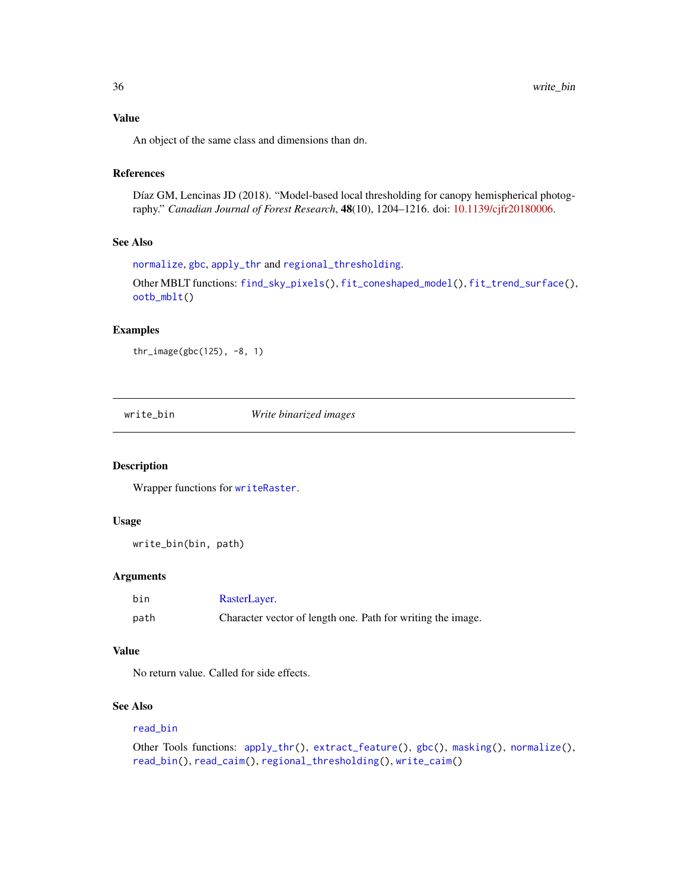# <span id="page-35-0"></span>Value

An object of the same class and dimensions than dn.

# References

Díaz GM, Lencinas JD (2018). "Model-based local thresholding for canopy hemispherical photography." *Canadian Journal of Forest Research*, 48(10), 1204–1216. doi: [10.1139/cjfr20180006.](https://doi.org/10.1139/cjfr-2018-0006)

# See Also

[normalize](#page-23-1), [gbc](#page-17-1), [apply\\_thr](#page-1-1) and [regional\\_thresholding](#page-28-1).

```
Other MBLT functions: find_sky_pixels(), fit_coneshaped_model(), fit_trend_surface(),
ootb_mblt()
```
# Examples

thr\_image(gbc(125), -8, 1)

<span id="page-35-1"></span>write\_bin *Write binarized images*

#### Description

Wrapper functions for [writeRaster](#page-0-0).

#### Usage

```
write_bin(bin, path)
```
# Arguments

| bin  | RasterLayer.                                                |
|------|-------------------------------------------------------------|
| path | Character vector of length one. Path for writing the image. |

# Value

No return value. Called for side effects.

# See Also

#### [read\\_bin](#page-26-1)

```
Other Tools functions: apply_thr(), extract_feature(), gbc(), masking(), normalize(),
read_bin(), read_caim(), regional_thresholding(), write_caim()
```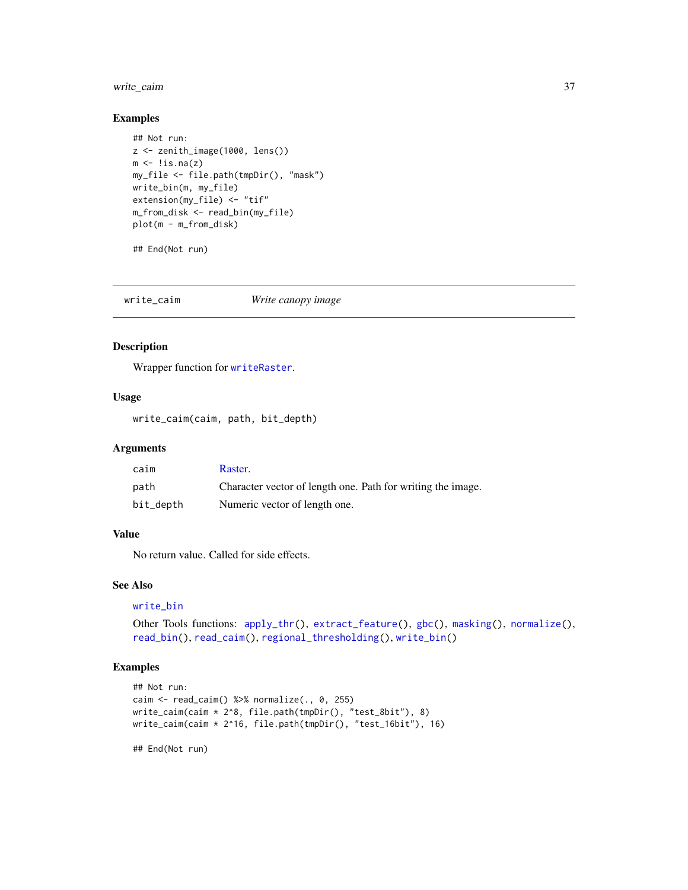# <span id="page-36-0"></span>write\_caim 37

# Examples

```
## Not run:
z <- zenith_image(1000, lens())
m \leftarrow !is.na(z)
my_file <- file.path(tmpDir(), "mask")
write_bin(m, my_file)
extension(my_file) <- "tif"
m_from_disk <- read_bin(my_file)
plot(m - m_from_disk)
```
## End(Not run)

<span id="page-36-1"></span>write\_caim *Write canopy image*

# Description

Wrapper function for [writeRaster](#page-0-0).

# Usage

write\_caim(caim, path, bit\_depth)

#### Arguments

| caim      | Raster.                                                     |
|-----------|-------------------------------------------------------------|
| path      | Character vector of length one. Path for writing the image. |
| bit_depth | Numeric vector of length one.                               |

#### Value

No return value. Called for side effects.

#### See Also

```
write_bin
```

```
Other Tools functions: apply_thr(), extract_feature(), gbc(), masking(), normalize(),
read_bin(), read_caim(), regional_thresholding(), write_bin()
```
# Examples

```
## Not run:
caim \le read_caim() %\gg% normalize(., 0, 255)
write_caim(caim * 2^8, file.path(tmpDir(), "test_8bit"), 8)
write_caim(caim * 2^16, file.path(tmpDir(), "test_16bit"), 16)
```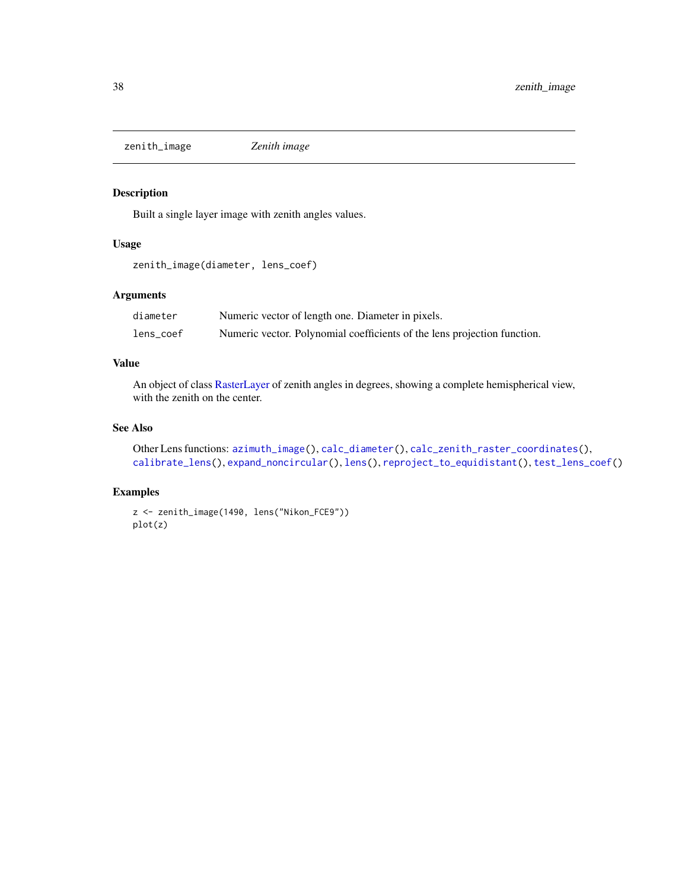<span id="page-37-1"></span><span id="page-37-0"></span>zenith\_image *Zenith image*

# Description

Built a single layer image with zenith angles values.

# Usage

zenith\_image(diameter, lens\_coef)

# Arguments

| diameter  | Numeric vector of length one. Diameter in pixels.                        |
|-----------|--------------------------------------------------------------------------|
| lens_coef | Numeric vector. Polynomial coefficients of the lens projection function. |

# Value

An object of class [RasterLayer](#page-0-0) of zenith angles in degrees, showing a complete hemispherical view, with the zenith on the center.

# See Also

```
Other Lens functions: azimuth_image(), calc_diameter(), calc_zenith_raster_coordinates(),
calibrate_lens(), expand_noncircular(), lens(), reproject_to_equidistant(), test_lens_coef()
```
# Examples

```
z <- zenith_image(1490, lens("Nikon_FCE9"))
plot(z)
```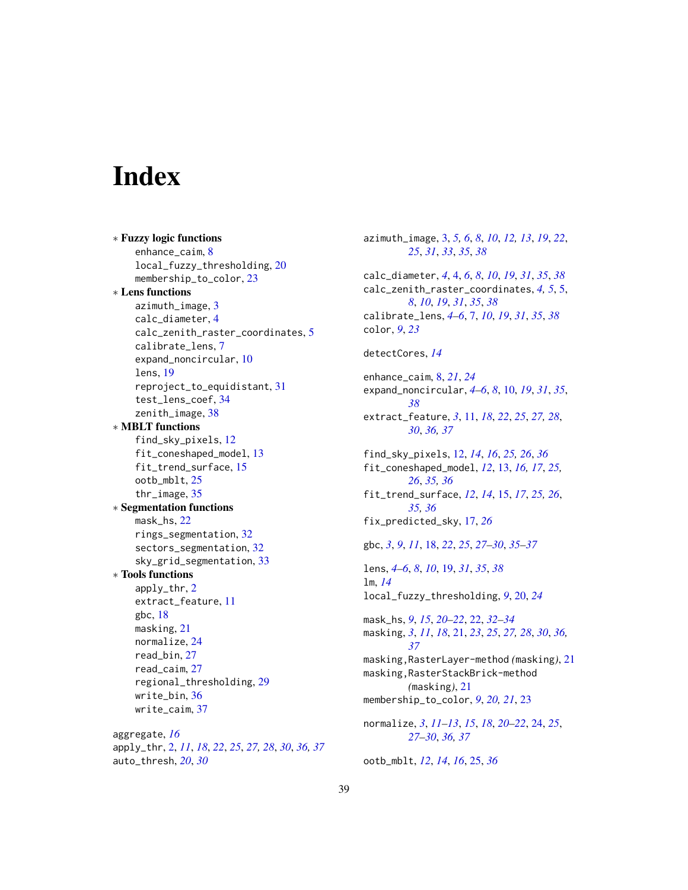# <span id="page-38-0"></span>**Index**

∗ Fuzzy logic functions enhance\_caim, [8](#page-7-0) local\_fuzzy\_thresholding, [20](#page-19-0) membership\_to\_color, [23](#page-22-0) ∗ Lens functions azimuth\_image, [3](#page-2-0) calc\_diameter, [4](#page-3-0) calc\_zenith\_raster\_coordinates, [5](#page-4-0) calibrate\_lens, [7](#page-6-0) expand\_noncircular, [10](#page-9-0) lens, [19](#page-18-0) reproject\_to\_equidistant, [31](#page-30-0) test\_lens\_coef, [34](#page-33-0) zenith\_image, [38](#page-37-0) ∗ MBLT functions find\_sky\_pixels, [12](#page-11-0) fit\_coneshaped\_model, [13](#page-12-0) fit\_trend\_surface, [15](#page-14-0) ootb\_mblt, [25](#page-24-0) thr\_image, [35](#page-34-0) ∗ Segmentation functions mask\_hs, [22](#page-21-0) rings\_segmentation, [32](#page-31-0) sectors\_segmentation, [32](#page-31-0) sky\_grid\_segmentation, [33](#page-32-0) ∗ Tools functions apply\_thr, [2](#page-1-0) extract\_feature, [11](#page-10-0) gbc, [18](#page-17-0) masking, [21](#page-20-0) normalize, [24](#page-23-0) read\_bin, [27](#page-26-0) read\_caim, [27](#page-26-0) regional\_thresholding, [29](#page-28-0) write\_bin, [36](#page-35-0) write\_caim, [37](#page-36-0) aggregate, *[16](#page-15-0)* apply\_thr, [2,](#page-1-0) *[11](#page-10-0)*, *[18](#page-17-0)*, *[22](#page-21-0)*, *[25](#page-24-0)*, *[27,](#page-26-0) [28](#page-27-0)*, *[30](#page-29-0)*, *[36,](#page-35-0) [37](#page-36-0)* auto\_thresh, *[20](#page-19-0)*, *[30](#page-29-0)*

azimuth\_image, [3,](#page-2-0) *[5,](#page-4-0) [6](#page-5-0)*, *[8](#page-7-0)*, *[10](#page-9-0)*, *[12,](#page-11-0) [13](#page-12-0)*, *[19](#page-18-0)*, *[22](#page-21-0)*, *[25](#page-24-0)*, *[31](#page-30-0)*, *[33](#page-32-0)*, *[35](#page-34-0)*, *[38](#page-37-0)* calc\_diameter, *[4](#page-3-0)*, [4,](#page-3-0) *[6](#page-5-0)*, *[8](#page-7-0)*, *[10](#page-9-0)*, *[19](#page-18-0)*, *[31](#page-30-0)*, *[35](#page-34-0)*, *[38](#page-37-0)* calc\_zenith\_raster\_coordinates, *[4,](#page-3-0) [5](#page-4-0)*, [5,](#page-4-0) *[8](#page-7-0)*, *[10](#page-9-0)*, *[19](#page-18-0)*, *[31](#page-30-0)*, *[35](#page-34-0)*, *[38](#page-37-0)* calibrate\_lens, *[4](#page-3-0)[–6](#page-5-0)*, [7,](#page-6-0) *[10](#page-9-0)*, *[19](#page-18-0)*, *[31](#page-30-0)*, *[35](#page-34-0)*, *[38](#page-37-0)* color, *[9](#page-8-0)*, *[23](#page-22-0)* detectCores, *[14](#page-13-0)* enhance\_caim, [8,](#page-7-0) *[21](#page-20-0)*, *[24](#page-23-0)* expand\_noncircular, *[4](#page-3-0)[–6](#page-5-0)*, *[8](#page-7-0)*, [10,](#page-9-0) *[19](#page-18-0)*, *[31](#page-30-0)*, *[35](#page-34-0)*, *[38](#page-37-0)* extract\_feature, *[3](#page-2-0)*, [11,](#page-10-0) *[18](#page-17-0)*, *[22](#page-21-0)*, *[25](#page-24-0)*, *[27,](#page-26-0) [28](#page-27-0)*, *[30](#page-29-0)*, *[36,](#page-35-0) [37](#page-36-0)* find\_sky\_pixels, [12,](#page-11-0) *[14](#page-13-0)*, *[16](#page-15-0)*, *[25,](#page-24-0) [26](#page-25-0)*, *[36](#page-35-0)* fit\_coneshaped\_model, *[12](#page-11-0)*, [13,](#page-12-0) *[16,](#page-15-0) [17](#page-16-0)*, *[25,](#page-24-0) [26](#page-25-0)*, *[35,](#page-34-0) [36](#page-35-0)* fit\_trend\_surface, *[12](#page-11-0)*, *[14](#page-13-0)*, [15,](#page-14-0) *[17](#page-16-0)*, *[25,](#page-24-0) [26](#page-25-0)*, *[35,](#page-34-0) [36](#page-35-0)* fix\_predicted\_sky, [17,](#page-16-0) *[26](#page-25-0)* gbc, *[3](#page-2-0)*, *[9](#page-8-0)*, *[11](#page-10-0)*, [18,](#page-17-0) *[22](#page-21-0)*, *[25](#page-24-0)*, *[27](#page-26-0)[–30](#page-29-0)*, *[35](#page-34-0)[–37](#page-36-0)* lens, *[4–](#page-3-0)[6](#page-5-0)*, *[8](#page-7-0)*, *[10](#page-9-0)*, [19,](#page-18-0) *[31](#page-30-0)*, *[35](#page-34-0)*, *[38](#page-37-0)* lm, *[14](#page-13-0)* local\_fuzzy\_thresholding, *[9](#page-8-0)*, [20,](#page-19-0) *[24](#page-23-0)* mask\_hs, *[9](#page-8-0)*, *[15](#page-14-0)*, *[20](#page-19-0)[–22](#page-21-0)*, [22,](#page-21-0) *[32](#page-31-0)[–34](#page-33-0)* masking, *[3](#page-2-0)*, *[11](#page-10-0)*, *[18](#page-17-0)*, [21,](#page-20-0) *[23](#page-22-0)*, *[25](#page-24-0)*, *[27,](#page-26-0) [28](#page-27-0)*, *[30](#page-29-0)*, *[36,](#page-35-0) [37](#page-36-0)* masking,RasterLayer-method *(*masking*)*, [21](#page-20-0) masking,RasterStackBrick-method *(*masking*)*, [21](#page-20-0) membership\_to\_color, *[9](#page-8-0)*, *[20,](#page-19-0) [21](#page-20-0)*, [23](#page-22-0) normalize, *[3](#page-2-0)*, *[11](#page-10-0)[–13](#page-12-0)*, *[15](#page-14-0)*, *[18](#page-17-0)*, *[20](#page-19-0)[–22](#page-21-0)*, [24,](#page-23-0) *[25](#page-24-0)*, *[27](#page-26-0)[–30](#page-29-0)*, *[36,](#page-35-0) [37](#page-36-0)* ootb\_mblt, *[12](#page-11-0)*, *[14](#page-13-0)*, *[16](#page-15-0)*, [25,](#page-24-0) *[36](#page-35-0)*